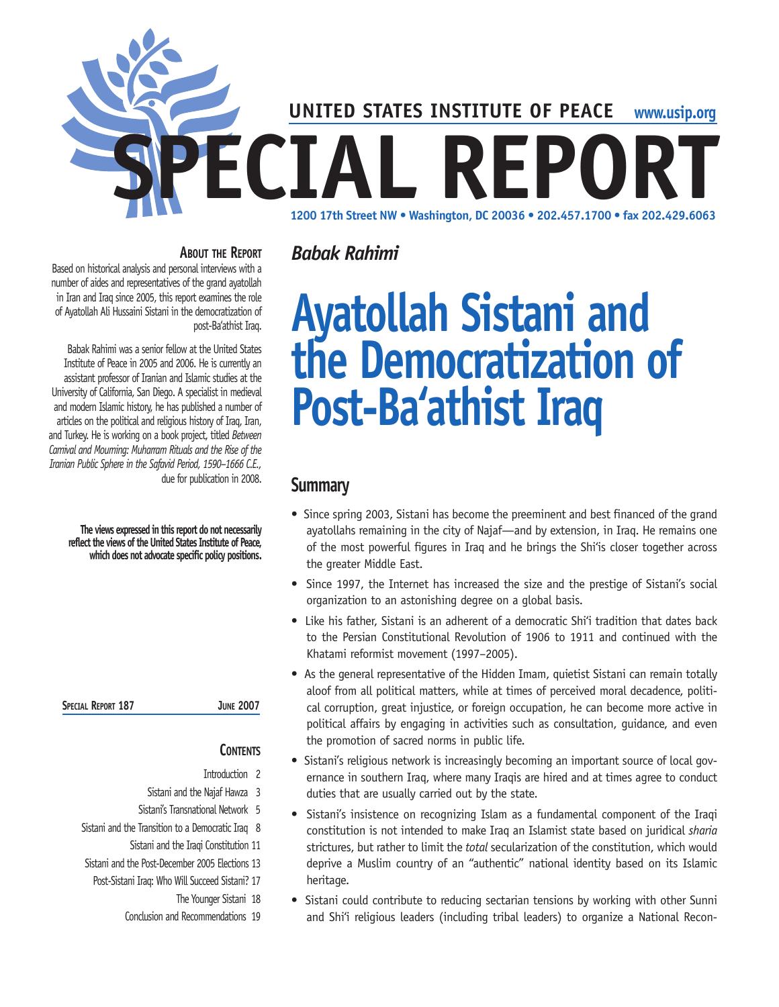

*Babak Rahimi*

#### **About the Report**

Based on historical analysis and personal interviews with a number of aides and representatives of the grand ayatollah in Iran and Iraq since 2005, this report examines the role of Ayatollah Ali Hussaini Sistani in the democratization of post-Ba'athist Iraq.

Babak Rahimi was a senior fellow at the United States Institute of Peace in 2005 and 2006. He is currently an assistant professor of Iranian and Islamic studies at the University of California, San Diego. A specialist in medieval and modern Islamic history, he has published a number of articles on the political and religious history of Iraq, Iran, and Turkey. He is working on a book project, titled *Between Carnival and Mourning: Muharram Rituals and the Rise of the Iranian Public Sphere in the Safavid Period, 1590–1666 C.E.,* due for publication in 2008.

**The views expressed in this report do not necessarily reflect the views of the United States Institute of Peace, which does not advocate specific policy positions .**

**Special Report 187 June 2007**

## **CONTENTS**

- Introduction 2
- Sistani and the Najaf Hawza 3
- Sistani's Transnational Network 5 Sistani and the Transition to a Democratic Iraq 8
	- Sistani and the Iraqi Constitution 11
- Sistani and the Post-December 2005 Elections 13
- Post-Sistani Iraq: Who Will Succeed Sistani? 17
	- The Younger Sistani 18
	- Conclusion and Recommendations 19

# **Ayatollah Sistani and the Democratization of Post-Ba'athist Iraq**

## **Summary**

- Since spring 2003, Sistani has become the preeminent and best financed of the grand ayatollahs remaining in the city of Najaf—and by extension, in Iraq. He remains one of the most powerful figures in Iraq and he brings the Shi'is closer together across the greater Middle East.
- Since 1997, the Internet has increased the size and the prestige of Sistani's social organization to an astonishing degree on a global basis.
- Like his father, Sistani is an adherent of a democratic Shi'i tradition that dates back to the Persian Constitutional Revolution of 1906 to 1911 and continued with the Khatami reformist movement (1997–2005).
- As the general representative of the Hidden Imam, quietist Sistani can remain totally aloof from all political matters, while at times of perceived moral decadence, political corruption, great injustice, or foreign occupation, he can become more active in political affairs by engaging in activities such as consultation, guidance, and even the promotion of sacred norms in public life.
- Sistani's religious network is increasingly becoming an important source of local governance in southern Iraq, where many Iraqis are hired and at times agree to conduct duties that are usually carried out by the state.
- Sistani's insistence on recognizing Islam as a fundamental component of the Iraqi constitution is not intended to make Iraq an Islamist state based on juridical *sharia*  strictures, but rather to limit the *total* secularization of the constitution, which would deprive a Muslim country of an "authentic" national identity based on its Islamic heritage.
- Sistani could contribute to reducing sectarian tensions by working with other Sunni and Shi'i religious leaders (including tribal leaders) to organize a National Recon-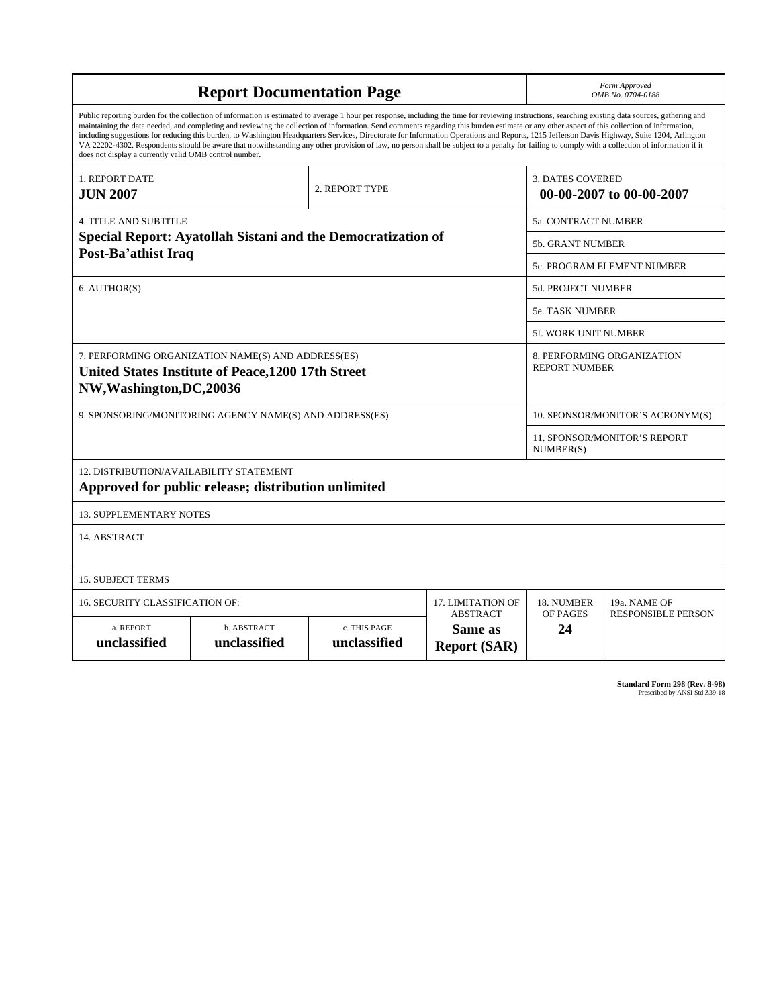| <b>Report Documentation Page</b>                                                                                                                                                                                                                                                                                                                                                                                                                                                                                                                                                                                                                                                                                                                                                                                                                                   |                             |                              |                                                     | Form Approved<br>OMB No. 0704-0188                 |                           |
|--------------------------------------------------------------------------------------------------------------------------------------------------------------------------------------------------------------------------------------------------------------------------------------------------------------------------------------------------------------------------------------------------------------------------------------------------------------------------------------------------------------------------------------------------------------------------------------------------------------------------------------------------------------------------------------------------------------------------------------------------------------------------------------------------------------------------------------------------------------------|-----------------------------|------------------------------|-----------------------------------------------------|----------------------------------------------------|---------------------------|
| Public reporting burden for the collection of information is estimated to average 1 hour per response, including the time for reviewing instructions, searching existing data sources, gathering and<br>maintaining the data needed, and completing and reviewing the collection of information. Send comments regarding this burden estimate or any other aspect of this collection of information,<br>including suggestions for reducing this burden, to Washington Headquarters Services, Directorate for Information Operations and Reports, 1215 Jefferson Davis Highway, Suite 1204, Arlington<br>VA 22202-4302. Respondents should be aware that notwithstanding any other provision of law, no person shall be subject to a penalty for failing to comply with a collection of information if it<br>does not display a currently valid OMB control number. |                             |                              |                                                     |                                                    |                           |
| <b>1. REPORT DATE</b><br><b>JUN 2007</b>                                                                                                                                                                                                                                                                                                                                                                                                                                                                                                                                                                                                                                                                                                                                                                                                                           | 2. REPORT TYPE              |                              | <b>3. DATES COVERED</b><br>00-00-2007 to 00-00-2007 |                                                    |                           |
| <b>4. TITLE AND SUBTITLE</b>                                                                                                                                                                                                                                                                                                                                                                                                                                                                                                                                                                                                                                                                                                                                                                                                                                       |                             |                              |                                                     | 5a. CONTRACT NUMBER                                |                           |
| Special Report: Ayatollah Sistani and the Democratization of<br>Post-Ba'athist Iraq                                                                                                                                                                                                                                                                                                                                                                                                                                                                                                                                                                                                                                                                                                                                                                                |                             |                              |                                                     | <b>5b. GRANT NUMBER</b>                            |                           |
|                                                                                                                                                                                                                                                                                                                                                                                                                                                                                                                                                                                                                                                                                                                                                                                                                                                                    |                             |                              |                                                     | 5c. PROGRAM ELEMENT NUMBER                         |                           |
| 6. AUTHOR(S)                                                                                                                                                                                                                                                                                                                                                                                                                                                                                                                                                                                                                                                                                                                                                                                                                                                       |                             |                              |                                                     | 5d. PROJECT NUMBER                                 |                           |
|                                                                                                                                                                                                                                                                                                                                                                                                                                                                                                                                                                                                                                                                                                                                                                                                                                                                    |                             |                              |                                                     | <b>5e. TASK NUMBER</b>                             |                           |
|                                                                                                                                                                                                                                                                                                                                                                                                                                                                                                                                                                                                                                                                                                                                                                                                                                                                    |                             |                              |                                                     | <b>5f. WORK UNIT NUMBER</b>                        |                           |
| 7. PERFORMING ORGANIZATION NAME(S) AND ADDRESS(ES)<br>United States Institute of Peace, 1200 17th Street<br>NW, Washington, DC, 20036                                                                                                                                                                                                                                                                                                                                                                                                                                                                                                                                                                                                                                                                                                                              |                             |                              |                                                     | 8. PERFORMING ORGANIZATION<br><b>REPORT NUMBER</b> |                           |
| 9. SPONSORING/MONITORING AGENCY NAME(S) AND ADDRESS(ES)                                                                                                                                                                                                                                                                                                                                                                                                                                                                                                                                                                                                                                                                                                                                                                                                            |                             |                              |                                                     | 10. SPONSOR/MONITOR'S ACRONYM(S)                   |                           |
|                                                                                                                                                                                                                                                                                                                                                                                                                                                                                                                                                                                                                                                                                                                                                                                                                                                                    |                             |                              |                                                     | <b>11. SPONSOR/MONITOR'S REPORT</b><br>NUMBER(S)   |                           |
| 12. DISTRIBUTION/AVAILABILITY STATEMENT<br>Approved for public release; distribution unlimited                                                                                                                                                                                                                                                                                                                                                                                                                                                                                                                                                                                                                                                                                                                                                                     |                             |                              |                                                     |                                                    |                           |
| <b>13. SUPPLEMENTARY NOTES</b>                                                                                                                                                                                                                                                                                                                                                                                                                                                                                                                                                                                                                                                                                                                                                                                                                                     |                             |                              |                                                     |                                                    |                           |
| 14. ABSTRACT                                                                                                                                                                                                                                                                                                                                                                                                                                                                                                                                                                                                                                                                                                                                                                                                                                                       |                             |                              |                                                     |                                                    |                           |
| <b>15. SUBJECT TERMS</b>                                                                                                                                                                                                                                                                                                                                                                                                                                                                                                                                                                                                                                                                                                                                                                                                                                           |                             |                              |                                                     |                                                    |                           |
| 16. SECURITY CLASSIFICATION OF:<br>17. LIMITATION OF                                                                                                                                                                                                                                                                                                                                                                                                                                                                                                                                                                                                                                                                                                                                                                                                               |                             |                              |                                                     | 18. NUMBER                                         | 19a. NAME OF              |
| a. REPORT<br>unclassified                                                                                                                                                                                                                                                                                                                                                                                                                                                                                                                                                                                                                                                                                                                                                                                                                                          | b. ABSTRACT<br>unclassified | c. THIS PAGE<br>unclassified | <b>ABSTRACT</b><br>Same as<br><b>Report (SAR)</b>   | OF PAGES<br>24                                     | <b>RESPONSIBLE PERSON</b> |

**Standard Form 298 (Rev. 8-98)**<br>Prescribed by ANSI Std Z39-18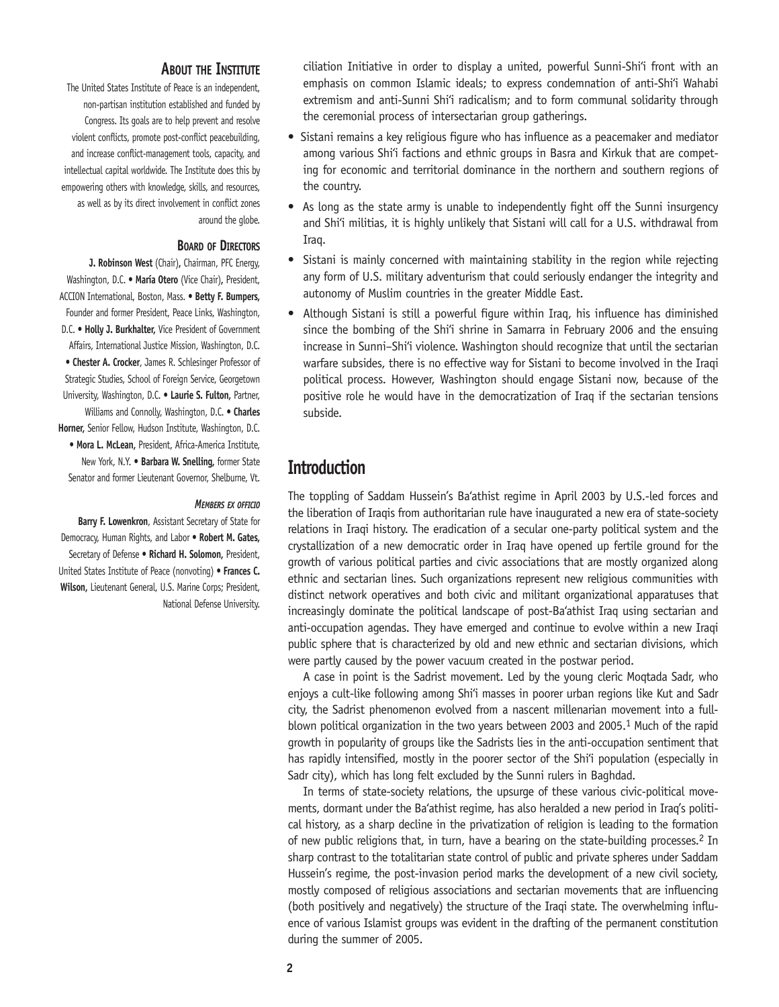#### **About the Institute**

The United States Institute of Peace is an independent, non-partisan institution established and funded by Congress. Its goals are to help prevent and resolve violent conflicts, promote post-conflict peacebuilding, and increase conflict-management tools, capacity, and intellectual capital worldwide. The Institute does this by empowering others with knowledge, skills, and resources, as well as by its direct involvement in conflict zones around the globe.

#### **Board of Directors**

**J. Robinson West** (Chair)**,** Chairman, PFC Energy, Washington, D.C. • **María Otero** (Vice Chair)**,** President, ACCION International, Boston, Mass. • **Betty F. Bumpers,**  Founder and former President, Peace Links, Washington, D.C. • **Holly J. Burkhalter,** Vice President of Government Affairs, International Justice Mission, Washington, D.C. • **Chester A. Crocker**, James R. Schlesinger Professor of Strategic Studies, School of Foreign Service, Georgetown University, Washington, D.C. • **Laurie S. Fulton,** Partner, Williams and Connolly, Washington, D.C. • **Charles Horner,** Senior Fellow, Hudson Institute, Washington, D.C. • **Mora L. McLean,** President, Africa-America Institute, New York, N.Y. • **Barbara W. Snelling,** former State Senator and former Lieutenant Governor, Shelburne, Vt.

#### *Members ex officio*

**Barry F. Lowenkron**, Assistant Secretary of State for Democracy, Human Rights, and Labor • **Robert M. Gates,**  Secretary of Defense • **Richard H. Solomon,** President, United States Institute of Peace (nonvoting) • **Frances C. Wilson,** Lieutenant General, U.S. Marine Corps; President, National Defense University.

ciliation Initiative in order to display a united, powerful Sunni-Shi'i front with an emphasis on common Islamic ideals; to express condemnation of anti-Shi'i Wahabi extremism and anti-Sunni Shi'i radicalism; and to form communal solidarity through the ceremonial process of intersectarian group gatherings.

- Sistani remains a key religious figure who has influence as a peacemaker and mediator among various Shi'i factions and ethnic groups in Basra and Kirkuk that are competing for economic and territorial dominance in the northern and southern regions of the country.
- As long as the state army is unable to independently fight off the Sunni insurgency and Shi'i militias, it is highly unlikely that Sistani will call for a U.S. withdrawal from Iraq.
- Sistani is mainly concerned with maintaining stability in the region while rejecting any form of U.S. military adventurism that could seriously endanger the integrity and autonomy of Muslim countries in the greater Middle East.
- Although Sistani is still a powerful figure within Iraq, his influence has diminished since the bombing of the Shi'i shrine in Samarra in February 2006 and the ensuing increase in Sunni–Shi'i violence. Washington should recognize that until the sectarian warfare subsides, there is no effective way for Sistani to become involved in the Iraqi political process. However, Washington should engage Sistani now, because of the positive role he would have in the democratization of Iraq if the sectarian tensions subside.

## **Introduction**

The toppling of Saddam Hussein's Ba'athist regime in April 2003 by U.S.-led forces and the liberation of Iraqis from authoritarian rule have inaugurated a new era of state-society relations in Iraqi history. The eradication of a secular one-party political system and the crystallization of a new democratic order in Iraq have opened up fertile ground for the growth of various political parties and civic associations that are mostly organized along ethnic and sectarian lines. Such organizations represent new religious communities with distinct network operatives and both civic and militant organizational apparatuses that increasingly dominate the political landscape of post-Ba'athist Iraq using sectarian and anti-occupation agendas. They have emerged and continue to evolve within a new Iraqi public sphere that is characterized by old and new ethnic and sectarian divisions, which were partly caused by the power vacuum created in the postwar period.

A case in point is the Sadrist movement. Led by the young cleric Moqtada Sadr, who enjoys a cult-like following among Shi'i masses in poorer urban regions like Kut and Sadr city, the Sadrist phenomenon evolved from a nascent millenarian movement into a fullblown political organization in the two years between 2003 and 2005.<sup>1</sup> Much of the rapid growth in popularity of groups like the Sadrists lies in the anti-occupation sentiment that has rapidly intensified, mostly in the poorer sector of the Shi'i population (especially in Sadr city), which has long felt excluded by the Sunni rulers in Baghdad.

In terms of state-society relations, the upsurge of these various civic-political movements, dormant under the Ba'athist regime, has also heralded a new period in Iraq's political history, as a sharp decline in the privatization of religion is leading to the formation of new public religions that, in turn, have a bearing on the state-building processes.<sup>2</sup> In sharp contrast to the totalitarian state control of public and private spheres under Saddam Hussein's regime, the post-invasion period marks the development of a new civil society, mostly composed of religious associations and sectarian movements that are influencing (both positively and negatively) the structure of the Iraqi state. The overwhelming influence of various Islamist groups was evident in the drafting of the permanent constitution during the summer of 2005.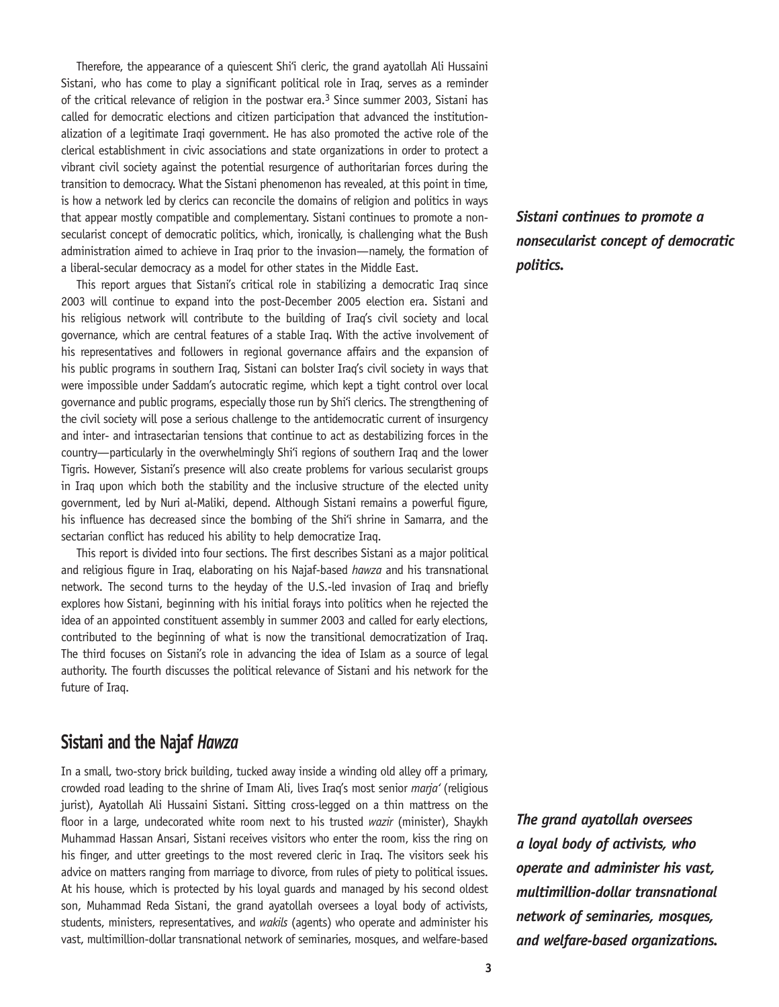Therefore, the appearance of a quiescent Shi'i cleric, the grand ayatollah Ali Hussaini Sistani, who has come to play a significant political role in Iraq, serves as a reminder of the critical relevance of religion in the postwar era.3 Since summer 2003, Sistani has called for democratic elections and citizen participation that advanced the institutionalization of a legitimate Iraqi government. He has also promoted the active role of the clerical establishment in civic associations and state organizations in order to protect a vibrant civil society against the potential resurgence of authoritarian forces during the transition to democracy. What the Sistani phenomenon has revealed, at this point in time, is how a network led by clerics can reconcile the domains of religion and politics in ways that appear mostly compatible and complementary. Sistani continues to promote a nonsecularist concept of democratic politics, which, ironically, is challenging what the Bush administration aimed to achieve in Iraq prior to the invasion—namely, the formation of a liberal-secular democracy as a model for other states in the Middle East.

This report argues that Sistani's critical role in stabilizing a democratic Iraq since 2003 will continue to expand into the post-December 2005 election era. Sistani and his religious network will contribute to the building of Iraq's civil society and local governance, which are central features of a stable Iraq. With the active involvement of his representatives and followers in regional governance affairs and the expansion of his public programs in southern Iraq, Sistani can bolster Iraq's civil society in ways that were impossible under Saddam's autocratic regime, which kept a tight control over local governance and public programs, especially those run by Shi'i clerics. The strengthening of the civil society will pose a serious challenge to the antidemocratic current of insurgency and inter- and intrasectarian tensions that continue to act as destabilizing forces in the country—particularly in the overwhelmingly Shi'i regions of southern Iraq and the lower Tigris. However, Sistani's presence will also create problems for various secularist groups in Iraq upon which both the stability and the inclusive structure of the elected unity government, led by Nuri al-Maliki, depend. Although Sistani remains a powerful figure, his influence has decreased since the bombing of the Shi'i shrine in Samarra, and the sectarian conflict has reduced his ability to help democratize Iraq.

This report is divided into four sections. The first describes Sistani as a major political and religious figure in Iraq, elaborating on his Najaf-based *hawza* and his transnational network. The second turns to the heyday of the U.S.-led invasion of Iraq and briefly explores how Sistani, beginning with his initial forays into politics when he rejected the idea of an appointed constituent assembly in summer 2003 and called for early elections, contributed to the beginning of what is now the transitional democratization of Iraq. The third focuses on Sistani's role in advancing the idea of Islam as a source of legal authority. The fourth discusses the political relevance of Sistani and his network for the future of Iraq.

## **Sistani and the Najaf** *Hawza*

In a small, two-story brick building, tucked away inside a winding old alley off a primary, crowded road leading to the shrine of Imam Ali, lives Iraq's most senior *marja'* (religious jurist), Ayatollah Ali Hussaini Sistani. Sitting cross-legged on a thin mattress on the floor in a large, undecorated white room next to his trusted *wazir* (minister), Shaykh Muhammad Hassan Ansari, Sistani receives visitors who enter the room, kiss the ring on his finger, and utter greetings to the most revered cleric in Iraq. The visitors seek his advice on matters ranging from marriage to divorce, from rules of piety to political issues. At his house, which is protected by his loyal guards and managed by his second oldest son, Muhammad Reda Sistani, the grand ayatollah oversees a loyal body of activists, students, ministers, representatives, and *wakils* (agents) who operate and administer his vast, multimillion-dollar transnational network of seminaries, mosques, and welfare-based *Sistani continues to promote a nonsecularist concept of democratic politics.*

*The grand ayatollah oversees a loyal body of activists, who operate and administer his vast, multimillion-dollar transnational network of seminaries, mosques, and welfare-based organizations.*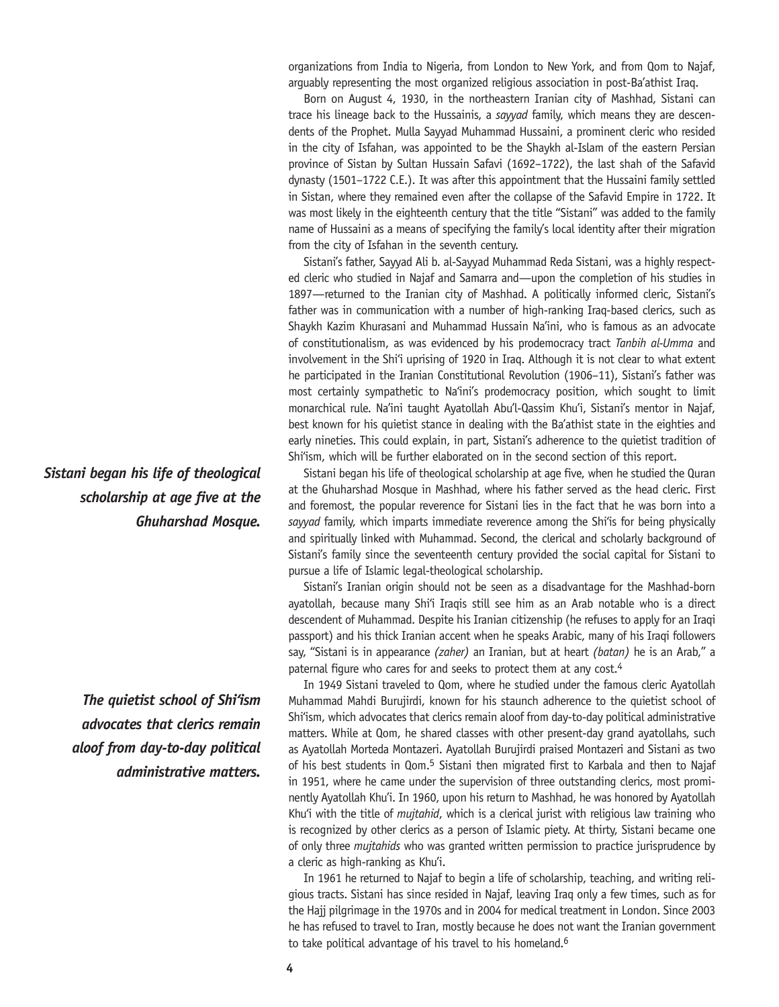organizations from India to Nigeria, from London to New York, and from Qom to Najaf, arguably representing the most organized religious association in post-Ba'athist Iraq.

Born on August 4, 1930, in the northeastern Iranian city of Mashhad, Sistani can trace his lineage back to the Hussainis, a *sayyad* family, which means they are descendents of the Prophet. Mulla Sayyad Muhammad Hussaini, a prominent cleric who resided in the city of Isfahan, was appointed to be the Shaykh al-Islam of the eastern Persian province of Sistan by Sultan Hussain Safavi (1692–1722), the last shah of the Safavid dynasty (1501–1722 C.E.). It was after this appointment that the Hussaini family settled in Sistan, where they remained even after the collapse of the Safavid Empire in 1722. It was most likely in the eighteenth century that the title "Sistani" was added to the family name of Hussaini as a means of specifying the family's local identity after their migration from the city of Isfahan in the seventh century.

Sistani's father, Sayyad Ali b. al-Sayyad Muhammad Reda Sistani, was a highly respected cleric who studied in Najaf and Samarra and—upon the completion of his studies in 1897—returned to the Iranian city of Mashhad. A politically informed cleric, Sistani's father was in communication with a number of high-ranking Iraq-based clerics, such as Shaykh Kazim Khurasani and Muhammad Hussain Na'ini, who is famous as an advocate of constitutionalism, as was evidenced by his prodemocracy tract *Tanbih al-Umma* and involvement in the Shi'i uprising of 1920 in Iraq. Although it is not clear to what extent he participated in the Iranian Constitutional Revolution (1906–11), Sistani's father was most certainly sympathetic to Na'ini's prodemocracy position, which sought to limit monarchical rule. Na'ini taught Ayatollah Abu'l-Qassim Khu'i, Sistani's mentor in Najaf, best known for his quietist stance in dealing with the Ba'athist state in the eighties and early nineties. This could explain, in part, Sistani's adherence to the quietist tradition of Shi'ism, which will be further elaborated on in the second section of this report.

Sistani began his life of theological scholarship at age five, when he studied the Quran at the Ghuharshad Mosque in Mashhad, where his father served as the head cleric. First and foremost, the popular reverence for Sistani lies in the fact that he was born into a *sayyad* family, which imparts immediate reverence among the Shi'is for being physically and spiritually linked with Muhammad. Second, the clerical and scholarly background of Sistani's family since the seventeenth century provided the social capital for Sistani to pursue a life of Islamic legal-theological scholarship.

Sistani's Iranian origin should not be seen as a disadvantage for the Mashhad-born ayatollah, because many Shi'i Iraqis still see him as an Arab notable who is a direct descendent of Muhammad. Despite his Iranian citizenship (he refuses to apply for an Iraqi passport) and his thick Iranian accent when he speaks Arabic, many of his Iraqi followers say, "Sistani is in appearance *(zaher)* an Iranian, but at heart *(batan)* he is an Arab," a paternal figure who cares for and seeks to protect them at any cost.<sup>4</sup>

In 1949 Sistani traveled to Qom, where he studied under the famous cleric Ayatollah Muhammad Mahdi Burujirdi, known for his staunch adherence to the quietist school of Shi'ism, which advocates that clerics remain aloof from day-to-day political administrative matters. While at Qom, he shared classes with other present-day grand ayatollahs, such as Ayatollah Morteda Montazeri. Ayatollah Burujirdi praised Montazeri and Sistani as two of his best students in Qom.5 Sistani then migrated first to Karbala and then to Najaf in 1951, where he came under the supervision of three outstanding clerics, most prominently Ayatollah Khu'i. In 1960, upon his return to Mashhad, he was honored by Ayatollah Khu'i with the title of *mujtahid*, which is a clerical jurist with religious law training who is recognized by other clerics as a person of Islamic piety. At thirty, Sistani became one of only three *mujtahids* who was granted written permission to practice jurisprudence by a cleric as high-ranking as Khu'i.

In 1961 he returned to Najaf to begin a life of scholarship, teaching, and writing religious tracts. Sistani has since resided in Najaf, leaving Iraq only a few times, such as for the Hajj pilgrimage in the 1970s and in 2004 for medical treatment in London. Since 2003 he has refused to travel to Iran, mostly because he does not want the Iranian government to take political advantage of his travel to his homeland.<sup>6</sup>

*Sistani began his life of theological scholarship at age five at the Ghuharshad Mosque.*

> *The quietist school of Shi'ism advocates that clerics remain aloof from day-to-day political administrative matters.*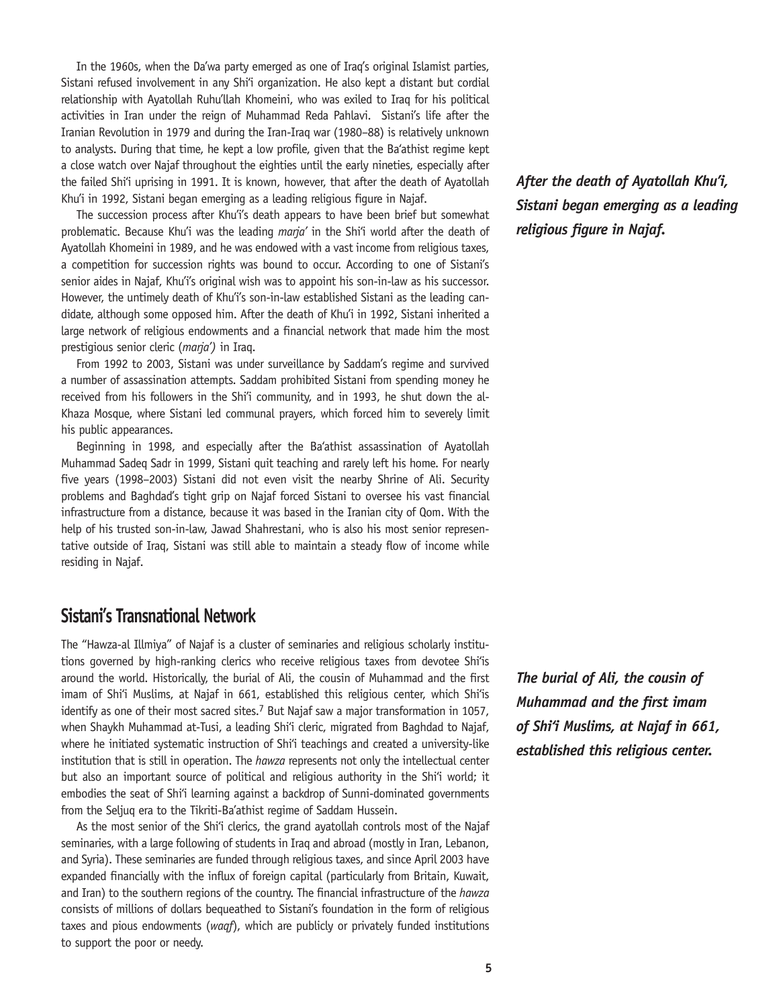In the 1960s, when the Da'wa party emerged as one of Iraq's original Islamist parties, Sistani refused involvement in any Shi'i organization. He also kept a distant but cordial relationship with Ayatollah Ruhu'llah Khomeini, who was exiled to Iraq for his political activities in Iran under the reign of Muhammad Reda Pahlavi. Sistani's life after the Iranian Revolution in 1979 and during the Iran-Iraq war (1980–88) is relatively unknown to analysts. During that time, he kept a low profile, given that the Ba'athist regime kept a close watch over Najaf throughout the eighties until the early nineties, especially after the failed Shi'i uprising in 1991. It is known, however, that after the death of Ayatollah Khu'i in 1992, Sistani began emerging as a leading religious figure in Najaf.

The succession process after Khu'i's death appears to have been brief but somewhat problematic. Because Khu'i was the leading *marja'* in the Shi'i world after the death of Ayatollah Khomeini in 1989, and he was endowed with a vast income from religious taxes, a competition for succession rights was bound to occur. According to one of Sistani's senior aides in Najaf, Khu'i's original wish was to appoint his son-in-law as his successor. However, the untimely death of Khu'i's son-in-law established Sistani as the leading candidate, although some opposed him. After the death of Khu'i in 1992, Sistani inherited a large network of religious endowments and a financial network that made him the most prestigious senior cleric (*marja')* in Iraq.

From 1992 to 2003, Sistani was under surveillance by Saddam's regime and survived a number of assassination attempts. Saddam prohibited Sistani from spending money he received from his followers in the Shi'i community, and in 1993, he shut down the al-Khaza Mosque, where Sistani led communal prayers, which forced him to severely limit his public appearances.

Beginning in 1998, and especially after the Ba'athist assassination of Ayatollah Muhammad Sadeq Sadr in 1999, Sistani quit teaching and rarely left his home. For nearly five years (1998–2003) Sistani did not even visit the nearby Shrine of Ali. Security problems and Baghdad's tight grip on Najaf forced Sistani to oversee his vast financial infrastructure from a distance, because it was based in the Iranian city of Qom. With the help of his trusted son-in-law, Jawad Shahrestani, who is also his most senior representative outside of Iraq, Sistani was still able to maintain a steady flow of income while residing in Najaf.

## **Sistani's Transnational Network**

The "Hawza-al Illmiya" of Najaf is a cluster of seminaries and religious scholarly institutions governed by high-ranking clerics who receive religious taxes from devotee Shi'is around the world. Historically, the burial of Ali, the cousin of Muhammad and the first imam of Shi'i Muslims, at Najaf in 661, established this religious center, which Shi'is identify as one of their most sacred sites.<sup>7</sup> But Najaf saw a major transformation in 1057, when Shaykh Muhammad at-Tusi, a leading Shi'i cleric, migrated from Baghdad to Najaf, where he initiated systematic instruction of Shi'i teachings and created a university-like institution that is still in operation. The *hawza* represents not only the intellectual center but also an important source of political and religious authority in the Shi'i world; it embodies the seat of Shi'i learning against a backdrop of Sunni-dominated governments from the Seljuq era to the Tikriti-Ba'athist regime of Saddam Hussein.

As the most senior of the Shi'i clerics, the grand ayatollah controls most of the Najaf seminaries, with a large following of students in Iraq and abroad (mostly in Iran, Lebanon, and Syria). These seminaries are funded through religious taxes, and since April 2003 have expanded financially with the influx of foreign capital (particularly from Britain, Kuwait, and Iran) to the southern regions of the country. The financial infrastructure of the *hawza*  consists of millions of dollars bequeathed to Sistani's foundation in the form of religious taxes and pious endowments (*waqf*), which are publicly or privately funded institutions to support the poor or needy.

*After the death of Ayatollah Khu'i, Sistani began emerging as a leading religious figure in Najaf.* 

*The burial of Ali, the cousin of Muhammad and the first imam of Shi'i Muslims, at Najaf in 661, established this religious center.*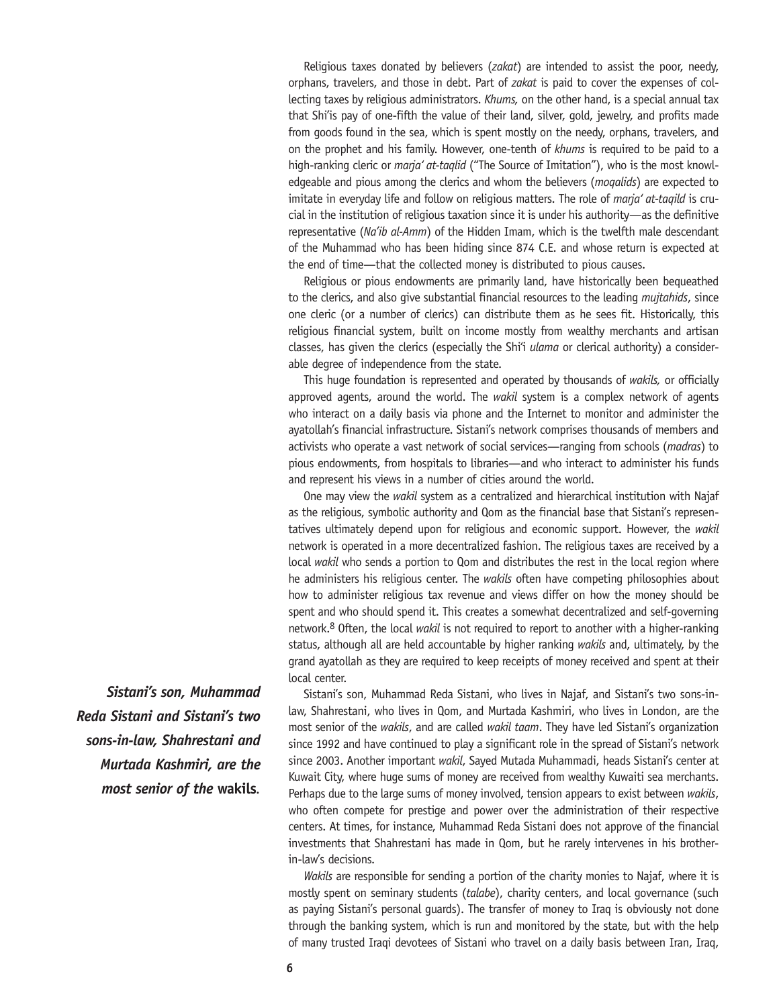Religious taxes donated by believers (*zakat*) are intended to assist the poor, needy, orphans, travelers, and those in debt. Part of *zakat* is paid to cover the expenses of collecting taxes by religious administrators. *Khums,* on the other hand, is a special annual tax that Shi'is pay of one-fifth the value of their land, silver, gold, jewelry, and profits made from goods found in the sea, which is spent mostly on the needy, orphans, travelers, and on the prophet and his family. However, one-tenth of *khums* is required to be paid to a high-ranking cleric or *marja' at-taqlid* ("The Source of Imitation"), who is the most knowledgeable and pious among the clerics and whom the believers (*moqalids*) are expected to imitate in everyday life and follow on religious matters. The role of *marja' at-taqild* is crucial in the institution of religious taxation since it is under his authority—as the definitive representative (*Na'ib al-Amm*) of the Hidden Imam, which is the twelfth male descendant of the Muhammad who has been hiding since 874 C.E. and whose return is expected at the end of time—that the collected money is distributed to pious causes.

Religious or pious endowments are primarily land, have historically been bequeathed to the clerics, and also give substantial financial resources to the leading *mujtahids*, since one cleric (or a number of clerics) can distribute them as he sees fit. Historically, this religious financial system, built on income mostly from wealthy merchants and artisan classes, has given the clerics (especially the Shi'i *ulama* or clerical authority) a considerable degree of independence from the state.

This huge foundation is represented and operated by thousands of *wakils,* or officially approved agents, around the world. The *wakil* system is a complex network of agents who interact on a daily basis via phone and the Internet to monitor and administer the ayatollah's financial infrastructure. Sistani's network comprises thousands of members and activists who operate a vast network of social services—ranging from schools (*madras*) to pious endowments, from hospitals to libraries—and who interact to administer his funds and represent his views in a number of cities around the world.

One may view the *wakil* system as a centralized and hierarchical institution with Najaf as the religious, symbolic authority and Qom as the financial base that Sistani's representatives ultimately depend upon for religious and economic support. However, the *wakil* network is operated in a more decentralized fashion. The religious taxes are received by a local *wakil* who sends a portion to Qom and distributes the rest in the local region where he administers his religious center. The *wakils* often have competing philosophies about how to administer religious tax revenue and views differ on how the money should be spent and who should spend it. This creates a somewhat decentralized and self-governing network.8 Often, the local *wakil* is not required to report to another with a higher-ranking status, although all are held accountable by higher ranking *wakils* and, ultimately, by the grand ayatollah as they are required to keep receipts of money received and spent at their local center.

Sistani's son, Muhammad Reda Sistani, who lives in Najaf, and Sistani's two sons-inlaw, Shahrestani, who lives in Qom, and Murtada Kashmiri, who lives in London, are the most senior of the *wakils*, and are called *wakil taam*. They have led Sistani's organization since 1992 and have continued to play a significant role in the spread of Sistani's network since 2003. Another important *wakil*, Sayed Mutada Muhammadi, heads Sistani's center at Kuwait City, where huge sums of money are received from wealthy Kuwaiti sea merchants. Perhaps due to the large sums of money involved, tension appears to exist between *wakils*, who often compete for prestige and power over the administration of their respective centers. At times, for instance, Muhammad Reda Sistani does not approve of the financial investments that Shahrestani has made in Qom, but he rarely intervenes in his brotherin-law's decisions.

*Wakils* are responsible for sending a portion of the charity monies to Najaf, where it is mostly spent on seminary students (*talabe*), charity centers, and local governance (such as paying Sistani's personal guards). The transfer of money to Iraq is obviously not done through the banking system, which is run and monitored by the state, but with the help of many trusted Iraqi devotees of Sistani who travel on a daily basis between Iran, Iraq,

*Sistani's son, Muhammad Reda Sistani and Sistani's two sons-in-law, Shahrestani and Murtada Kashmiri, are the most senior of the* **wakils***.*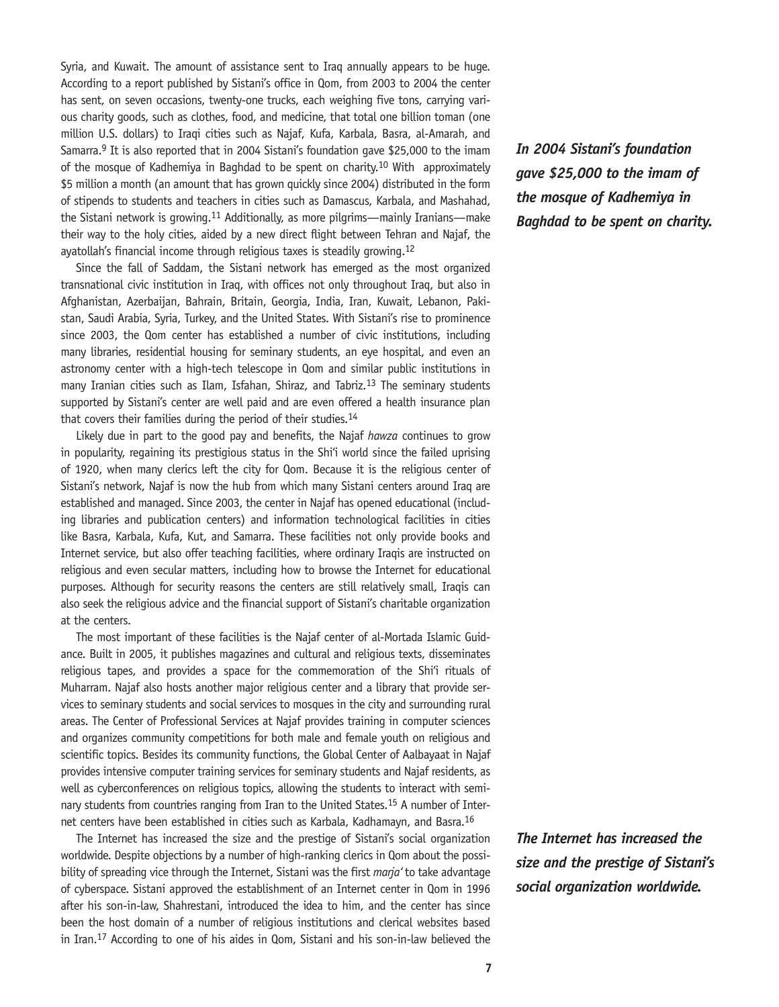Syria, and Kuwait. The amount of assistance sent to Iraq annually appears to be huge. According to a report published by Sistani's office in Qom, from 2003 to 2004 the center has sent, on seven occasions, twenty-one trucks, each weighing five tons, carrying various charity goods, such as clothes, food, and medicine, that total one billion toman (one million U.S. dollars) to Iraqi cities such as Najaf, Kufa, Karbala, Basra, al-Amarah, and Samarra.9 It is also reported that in 2004 Sistani's foundation gave \$25,000 to the imam of the mosque of Kadhemiya in Baghdad to be spent on charity.10 With approximately \$5 million a month (an amount that has grown quickly since 2004) distributed in the form of stipends to students and teachers in cities such as Damascus, Karbala, and Mashahad, the Sistani network is growing.11 Additionally, as more pilgrims—mainly Iranians—make their way to the holy cities, aided by a new direct flight between Tehran and Najaf, the ayatollah's financial income through religious taxes is steadily growing.12

Since the fall of Saddam, the Sistani network has emerged as the most organized transnational civic institution in Iraq, with offices not only throughout Iraq, but also in Afghanistan, Azerbaijan, Bahrain, Britain, Georgia, India, Iran, Kuwait, Lebanon, Pakistan, Saudi Arabia, Syria, Turkey, and the United States. With Sistani's rise to prominence since 2003, the Qom center has established a number of civic institutions, including many libraries, residential housing for seminary students, an eye hospital, and even an astronomy center with a high-tech telescope in Qom and similar public institutions in many Iranian cities such as Ilam, Isfahan, Shiraz, and Tabriz.<sup>13</sup> The seminary students supported by Sistani's center are well paid and are even offered a health insurance plan that covers their families during the period of their studies.14

Likely due in part to the good pay and benefits, the Najaf *hawza* continues to grow in popularity, regaining its prestigious status in the Shi'i world since the failed uprising of 1920, when many clerics left the city for Qom. Because it is the religious center of Sistani's network, Najaf is now the hub from which many Sistani centers around Iraq are established and managed. Since 2003, the center in Najaf has opened educational (including libraries and publication centers) and information technological facilities in cities like Basra, Karbala, Kufa, Kut, and Samarra. These facilities not only provide books and Internet service, but also offer teaching facilities, where ordinary Iraqis are instructed on religious and even secular matters, including how to browse the Internet for educational purposes. Although for security reasons the centers are still relatively small, Iraqis can also seek the religious advice and the financial support of Sistani's charitable organization at the centers.

The most important of these facilities is the Najaf center of al-Mortada Islamic Guidance. Built in 2005, it publishes magazines and cultural and religious texts, disseminates religious tapes, and provides a space for the commemoration of the Shi'i rituals of Muharram. Najaf also hosts another major religious center and a library that provide services to seminary students and social services to mosques in the city and surrounding rural areas. The Center of Professional Services at Najaf provides training in computer sciences and organizes community competitions for both male and female youth on religious and scientific topics. Besides its community functions, the Global Center of Aalbayaat in Najaf provides intensive computer training services for seminary students and Najaf residents, as well as cyberconferences on religious topics, allowing the students to interact with seminary students from countries ranging from Iran to the United States.<sup>15</sup> A number of Internet centers have been established in cities such as Karbala, Kadhamayn, and Basra.16

The Internet has increased the size and the prestige of Sistani's social organization worldwide. Despite objections by a number of high-ranking clerics in Qom about the possibility of spreading vice through the Internet, Sistani was the first *marja'* to take advantage of cyberspace. Sistani approved the establishment of an Internet center in Qom in 1996 after his son-in-law, Shahrestani, introduced the idea to him, and the center has since been the host domain of a number of religious institutions and clerical websites based in Iran.17 According to one of his aides in Qom, Sistani and his son-in-law believed the *In 2004 Sistani's foundation gave \$25,000 to the imam of the mosque of Kadhemiya in Baghdad to be spent on charity.*

*The Internet has increased the size and the prestige of Sistani's social organization worldwide.*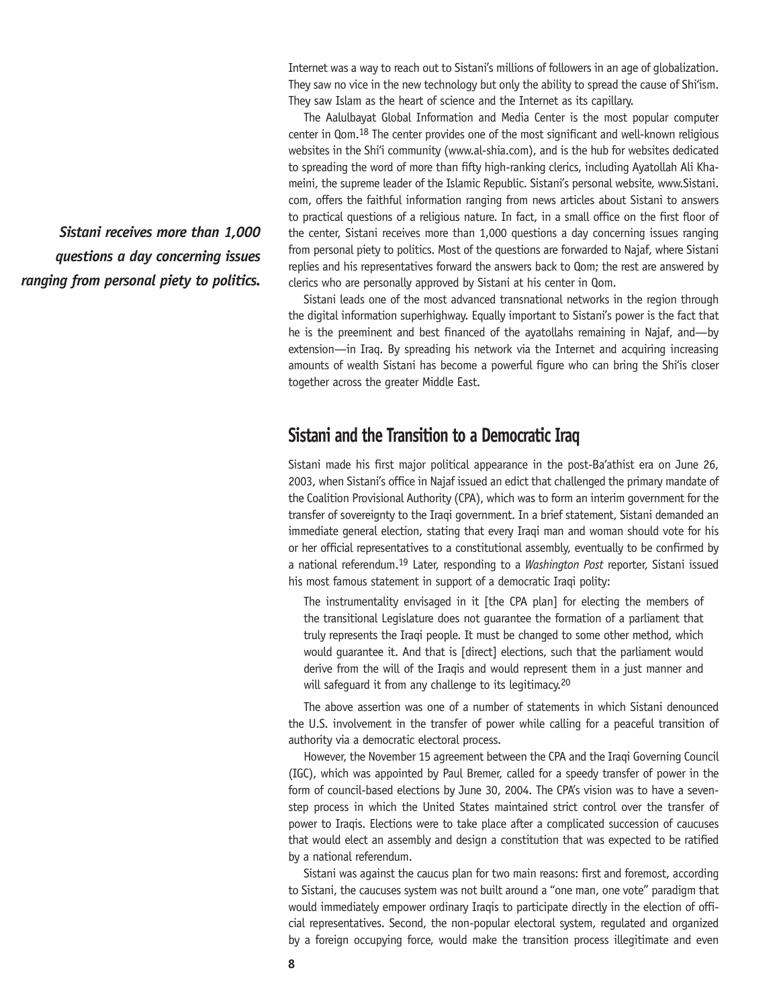Internet was a way to reach out to Sistani's millions of followers in an age of globalization. They saw no vice in the new technology but only the ability to spread the cause of Shi'ism. They saw Islam as the heart of science and the Internet as its capillary.

The Aalulbayat Global Information and Media Center is the most popular computer center in Qom.18 The center provides one of the most significant and well-known religious websites in the Shi'i community (www.al-shia.com), and is the hub for websites dedicated to spreading the word of more than fifty high-ranking clerics, including Ayatollah Ali Khameini, the supreme leader of the Islamic Republic. Sistani's personal website, www.Sistani. com, offers the faithful information ranging from news articles about Sistani to answers to practical questions of a religious nature. In fact, in a small office on the first floor of the center, Sistani receives more than 1,000 questions a day concerning issues ranging from personal piety to politics. Most of the questions are forwarded to Najaf, where Sistani replies and his representatives forward the answers back to Qom; the rest are answered by clerics who are personally approved by Sistani at his center in Qom.

Sistani leads one of the most advanced transnational networks in the region through the digital information superhighway. Equally important to Sistani's power is the fact that he is the preeminent and best financed of the ayatollahs remaining in Najaf, and—by extension—in Iraq. By spreading his network via the Internet and acquiring increasing amounts of wealth Sistani has become a powerful figure who can bring the Shi'is closer together across the greater Middle East.

## **Sistani and the Transition to a Democratic Iraq**

Sistani made his first major political appearance in the post-Ba'athist era on June 26, 2003, when Sistani's office in Najaf issued an edict that challenged the primary mandate of the Coalition Provisional Authority (CPA), which was to form an interim government for the transfer of sovereignty to the Iraqi government. In a brief statement, Sistani demanded an immediate general election, stating that every Iraqi man and woman should vote for his or her official representatives to a constitutional assembly, eventually to be confirmed by a national referendum.19 Later, responding to a *Washington Post* reporter, Sistani issued his most famous statement in support of a democratic Iraqi polity:

The instrumentality envisaged in it [the CPA plan] for electing the members of the transitional Legislature does not guarantee the formation of a parliament that truly represents the Iraqi people. It must be changed to some other method, which would guarantee it. And that is [direct] elections, such that the parliament would derive from the will of the Iraqis and would represent them in a just manner and will safeguard it from any challenge to its legitimacy.<sup>20</sup>

The above assertion was one of a number of statements in which Sistani denounced the U.S. involvement in the transfer of power while calling for a peaceful transition of authority via a democratic electoral process.

However, the November 15 agreement between the CPA and the Iraqi Governing Council (IGC), which was appointed by Paul Bremer, called for a speedy transfer of power in the form of council-based elections by June 30, 2004. The CPA's vision was to have a sevenstep process in which the United States maintained strict control over the transfer of power to Iraqis. Elections were to take place after a complicated succession of caucuses that would elect an assembly and design a constitution that was expected to be ratified by a national referendum.

Sistani was against the caucus plan for two main reasons: first and foremost, according to Sistani, the caucuses system was not built around a "one man, one vote" paradigm that would immediately empower ordinary Iraqis to participate directly in the election of official representatives. Second, the non-popular electoral system, regulated and organized by a foreign occupying force, would make the transition process illegitimate and even

*Sistani receives more than 1,000 questions a day concerning issues ranging from personal piety to politics.*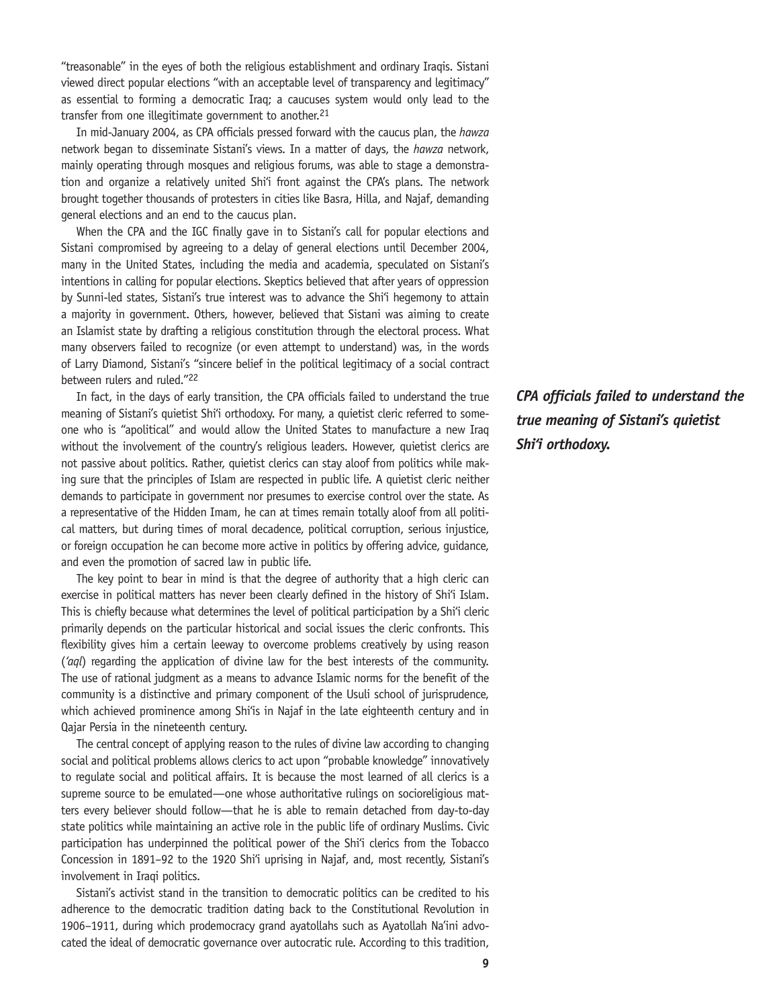"treasonable" in the eyes of both the religious establishment and ordinary Iraqis. Sistani viewed direct popular elections "with an acceptable level of transparency and legitimacy" as essential to forming a democratic Iraq; a caucuses system would only lead to the transfer from one illegitimate government to another.<sup>21</sup>

In mid-January 2004, as CPA officials pressed forward with the caucus plan, the *hawza*  network began to disseminate Sistani's views. In a matter of days, the *hawza* network, mainly operating through mosques and religious forums, was able to stage a demonstration and organize a relatively united Shi'i front against the CPA's plans. The network brought together thousands of protesters in cities like Basra, Hilla, and Najaf, demanding general elections and an end to the caucus plan.

When the CPA and the IGC finally gave in to Sistani's call for popular elections and Sistani compromised by agreeing to a delay of general elections until December 2004, many in the United States, including the media and academia, speculated on Sistani's intentions in calling for popular elections. Skeptics believed that after years of oppression by Sunni-led states, Sistani's true interest was to advance the Shi'i hegemony to attain a majority in government. Others, however, believed that Sistani was aiming to create an Islamist state by drafting a religious constitution through the electoral process. What many observers failed to recognize (or even attempt to understand) was, in the words of Larry Diamond, Sistani's "sincere belief in the political legitimacy of a social contract between rulers and ruled."22

In fact, in the days of early transition, the CPA officials failed to understand the true meaning of Sistani's quietist Shi'i orthodoxy. For many, a quietist cleric referred to someone who is "apolitical" and would allow the United States to manufacture a new Iraq without the involvement of the country's religious leaders. However, quietist clerics are not passive about politics. Rather, quietist clerics can stay aloof from politics while making sure that the principles of Islam are respected in public life. A quietist cleric neither demands to participate in government nor presumes to exercise control over the state. As a representative of the Hidden Imam, he can at times remain totally aloof from all political matters, but during times of moral decadence, political corruption, serious injustice, or foreign occupation he can become more active in politics by offering advice, guidance, and even the promotion of sacred law in public life.

The key point to bear in mind is that the degree of authority that a high cleric can exercise in political matters has never been clearly defined in the history of Shi'i Islam. This is chiefly because what determines the level of political participation by a Shi'i cleric primarily depends on the particular historical and social issues the cleric confronts. This flexibility gives him a certain leeway to overcome problems creatively by using reason (*'aql*) regarding the application of divine law for the best interests of the community. The use of rational judgment as a means to advance Islamic norms for the benefit of the community is a distinctive and primary component of the Usuli school of jurisprudence, which achieved prominence among Shi'is in Najaf in the late eighteenth century and in Qajar Persia in the nineteenth century.

The central concept of applying reason to the rules of divine law according to changing social and political problems allows clerics to act upon "probable knowledge" innovatively to regulate social and political affairs. It is because the most learned of all clerics is a supreme source to be emulated—one whose authoritative rulings on socioreligious matters every believer should follow—that he is able to remain detached from day-to-day state politics while maintaining an active role in the public life of ordinary Muslims. Civic participation has underpinned the political power of the Shi'i clerics from the Tobacco Concession in 1891–92 to the 1920 Shi'i uprising in Najaf, and, most recently, Sistani's involvement in Iraqi politics.

Sistani's activist stand in the transition to democratic politics can be credited to his adherence to the democratic tradition dating back to the Constitutional Revolution in 1906–1911, during which prodemocracy grand ayatollahs such as Ayatollah Na'ini advocated the ideal of democratic governance over autocratic rule. According to this tradition, *CPA officials failed to understand the true meaning of Sistani's quietist Shi'i orthodoxy.*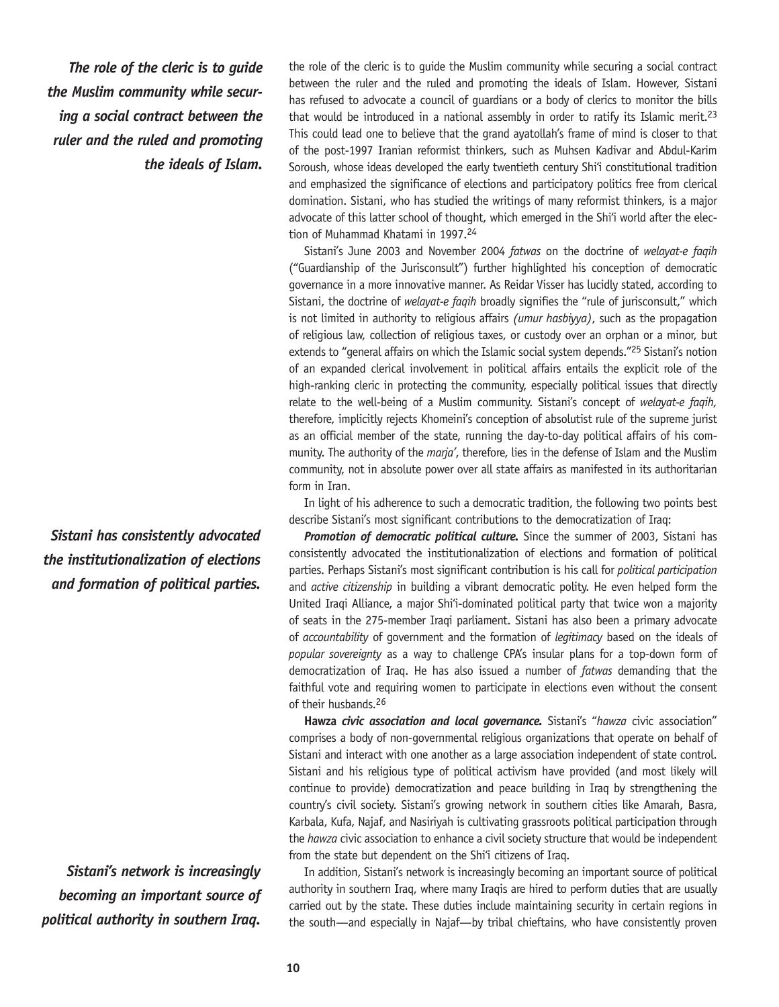*The role of the cleric is to guide the Muslim community while securing a social contract between the ruler and the ruled and promoting the ideals of Islam.* 

*Sistani has consistently advocated the institutionalization of elections and formation of political parties.*

*Sistani's network is increasingly becoming an important source of political authority in southern Iraq.*

the role of the cleric is to guide the Muslim community while securing a social contract between the ruler and the ruled and promoting the ideals of Islam. However, Sistani has refused to advocate a council of guardians or a body of clerics to monitor the bills that would be introduced in a national assembly in order to ratify its Islamic merit.<sup>23</sup> This could lead one to believe that the grand ayatollah's frame of mind is closer to that of the post-1997 Iranian reformist thinkers, such as Muhsen Kadivar and Abdul-Karim Soroush, whose ideas developed the early twentieth century Shi'i constitutional tradition and emphasized the significance of elections and participatory politics free from clerical domination. Sistani, who has studied the writings of many reformist thinkers, is a major advocate of this latter school of thought, which emerged in the Shi'i world after the election of Muhammad Khatami in 1997.24

Sistani's June 2003 and November 2004 *fatwas* on the doctrine of *welayat-e faqih*  ("Guardianship of the Jurisconsult") further highlighted his conception of democratic governance in a more innovative manner. As Reidar Visser has lucidly stated, according to Sistani, the doctrine of *welayat-e faqih* broadly signifies the "rule of jurisconsult," which is not limited in authority to religious affairs *(umur hasbiyya)*, such as the propagation of religious law, collection of religious taxes, or custody over an orphan or a minor, but extends to "general affairs on which the Islamic social system depends."<sup>25</sup> Sistani's notion of an expanded clerical involvement in political affairs entails the explicit role of the high-ranking cleric in protecting the community, especially political issues that directly relate to the well-being of a Muslim community. Sistani's concept of *welayat-e faqih,*  therefore, implicitly rejects Khomeini's conception of absolutist rule of the supreme jurist as an official member of the state, running the day-to-day political affairs of his community. The authority of the *marja'*, therefore, lies in the defense of Islam and the Muslim community, not in absolute power over all state affairs as manifested in its authoritarian form in Iran.

In light of his adherence to such a democratic tradition, the following two points best describe Sistani's most significant contributions to the democratization of Iraq:

**Promotion of democratic political culture.** Since the summer of 2003, Sistani has consistently advocated the institutionalization of elections and formation of political parties. Perhaps Sistani's most significant contribution is his call for *political participation*  and *active citizenship* in building a vibrant democratic polity. He even helped form the United Iraqi Alliance, a major Shi'i-dominated political party that twice won a majority of seats in the 275-member Iraqi parliament. Sistani has also been a primary advocate of *accountability* of government and the formation of *legitimacy* based on the ideals of *popular sovereignty* as a way to challenge CPA's insular plans for a top-down form of democratization of Iraq. He has also issued a number of *fatwas* demanding that the faithful vote and requiring women to participate in elections even without the consent of their husbands.26

**Hawza** *civic association and local governance.* Sistani's "*hawza* civic association" comprises a body of non-governmental religious organizations that operate on behalf of Sistani and interact with one another as a large association independent of state control. Sistani and his religious type of political activism have provided (and most likely will continue to provide) democratization and peace building in Iraq by strengthening the country's civil society. Sistani's growing network in southern cities like Amarah, Basra, Karbala, Kufa, Najaf, and Nasiriyah is cultivating grassroots political participation through the *hawza* civic association to enhance a civil society structure that would be independent from the state but dependent on the Shi'i citizens of Iraq.

In addition, Sistani's network is increasingly becoming an important source of political authority in southern Iraq, where many Iraqis are hired to perform duties that are usually carried out by the state. These duties include maintaining security in certain regions in the south—and especially in Najaf—by tribal chieftains, who have consistently proven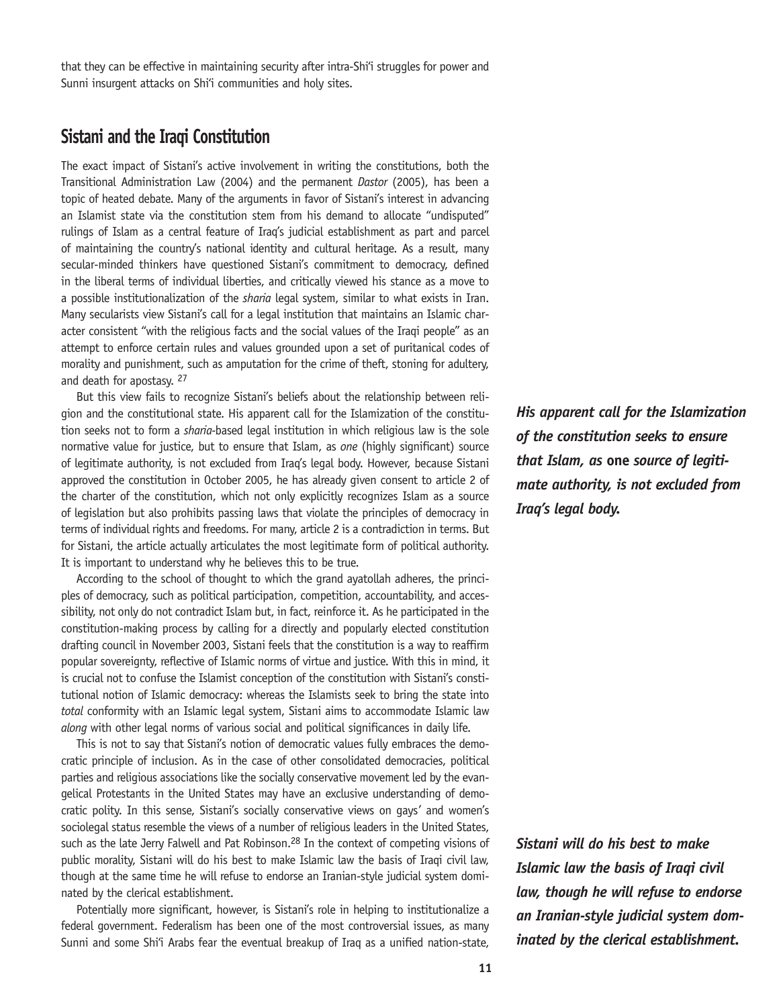that they can be effective in maintaining security after intra-Shi'i struggles for power and Sunni insurgent attacks on Shi'i communities and holy sites.

## **Sistani and the Iraqi Constitution**

The exact impact of Sistani's active involvement in writing the constitutions, both the Transitional Administration Law (2004) and the permanent *Dastor* (2005), has been a topic of heated debate. Many of the arguments in favor of Sistani's interest in advancing an Islamist state via the constitution stem from his demand to allocate "undisputed" rulings of Islam as a central feature of Iraq's judicial establishment as part and parcel of maintaining the country's national identity and cultural heritage. As a result, many secular-minded thinkers have questioned Sistani's commitment to democracy, defined in the liberal terms of individual liberties, and critically viewed his stance as a move to a possible institutionalization of the *sharia* legal system, similar to what exists in Iran. Many secularists view Sistani's call for a legal institution that maintains an Islamic character consistent "with the religious facts and the social values of the Iraqi people" as an attempt to enforce certain rules and values grounded upon a set of puritanical codes of morality and punishment, such as amputation for the crime of theft, stoning for adultery, and death for apostasy. 27

But this view fails to recognize Sistani's beliefs about the relationship between religion and the constitutional state. His apparent call for the Islamization of the constitution seeks not to form a *sharia-*based legal institution in which religious law is the sole normative value for justice, but to ensure that Islam, as *one* (highly significant) source of legitimate authority, is not excluded from Iraq's legal body. However, because Sistani approved the constitution in October 2005, he has already given consent to article 2 of the charter of the constitution, which not only explicitly recognizes Islam as a source of legislation but also prohibits passing laws that violate the principles of democracy in terms of individual rights and freedoms. For many, article 2 is a contradiction in terms. But for Sistani, the article actually articulates the most legitimate form of political authority. It is important to understand why he believes this to be true.

According to the school of thought to which the grand ayatollah adheres, the principles of democracy, such as political participation, competition, accountability, and accessibility, not only do not contradict Islam but, in fact, reinforce it. As he participated in the constitution-making process by calling for a directly and popularly elected constitution drafting council in November 2003, Sistani feels that the constitution is a way to reaffirm popular sovereignty, reflective of Islamic norms of virtue and justice. With this in mind, it is crucial not to confuse the Islamist conception of the constitution with Sistani's constitutional notion of Islamic democracy: whereas the Islamists seek to bring the state into *total* conformity with an Islamic legal system, Sistani aims to accommodate Islamic law *along* with other legal norms of various social and political significances in daily life.

This is not to say that Sistani's notion of democratic values fully embraces the democratic principle of inclusion. As in the case of other consolidated democracies, political parties and religious associations like the socially conservative movement led by the evangelical Protestants in the United States may have an exclusive understanding of democratic polity. In this sense, Sistani's socially conservative views on gays' and women's sociolegal status resemble the views of a number of religious leaders in the United States, such as the late Jerry Falwell and Pat Robinson.<sup>28</sup> In the context of competing visions of public morality, Sistani will do his best to make Islamic law the basis of Iraqi civil law, though at the same time he will refuse to endorse an Iranian-style judicial system dominated by the clerical establishment.

Potentially more significant, however, is Sistani's role in helping to institutionalize a federal government. Federalism has been one of the most controversial issues, as many Sunni and some Shi'i Arabs fear the eventual breakup of Iraq as a unified nation-state, *His apparent call for the Islamization of the constitution seeks to ensure that Islam, as* **one** *source of legitimate authority, is not excluded from Iraq's legal body.*

*Sistani will do his best to make Islamic law the basis of Iraqi civil law, though he will refuse to endorse an Iranian-style judicial system dominated by the clerical establishment.*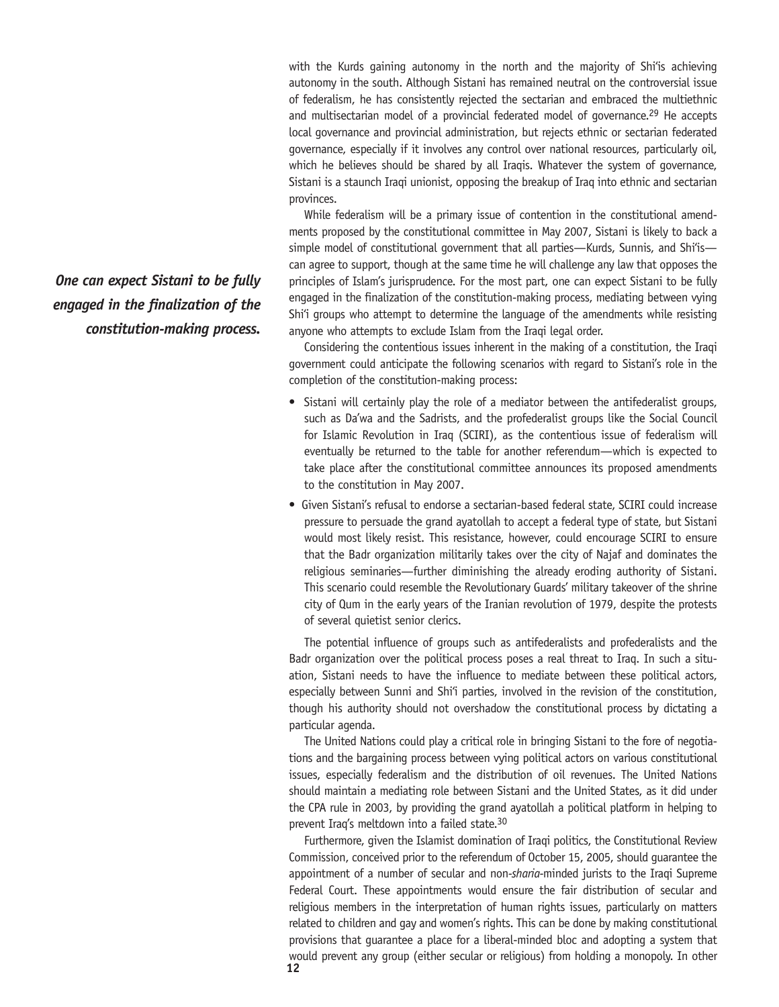with the Kurds gaining autonomy in the north and the majority of Shi'is achieving autonomy in the south. Although Sistani has remained neutral on the controversial issue of federalism, he has consistently rejected the sectarian and embraced the multiethnic and multisectarian model of a provincial federated model of governance.<sup>29</sup> He accepts local governance and provincial administration, but rejects ethnic or sectarian federated governance, especially if it involves any control over national resources, particularly oil, which he believes should be shared by all Iraqis. Whatever the system of governance, Sistani is a staunch Iraqi unionist, opposing the breakup of Iraq into ethnic and sectarian provinces.

While federalism will be a primary issue of contention in the constitutional amendments proposed by the constitutional committee in May 2007, Sistani is likely to back a simple model of constitutional government that all parties—Kurds, Sunnis, and Shi'is can agree to support, though at the same time he will challenge any law that opposes the principles of Islam's jurisprudence. For the most part, one can expect Sistani to be fully engaged in the finalization of the constitution-making process, mediating between vying Shi'i groups who attempt to determine the language of the amendments while resisting anyone who attempts to exclude Islam from the Iraqi legal order.

Considering the contentious issues inherent in the making of a constitution, the Iraqi government could anticipate the following scenarios with regard to Sistani's role in the completion of the constitution-making process:

- Sistani will certainly play the role of a mediator between the antifederalist groups, such as Da'wa and the Sadrists, and the profederalist groups like the Social Council for Islamic Revolution in Iraq (SCIRI), as the contentious issue of federalism will eventually be returned to the table for another referendum—which is expected to take place after the constitutional committee announces its proposed amendments to the constitution in May 2007.
- Given Sistani's refusal to endorse a sectarian-based federal state, SCIRI could increase pressure to persuade the grand ayatollah to accept a federal type of state, but Sistani would most likely resist. This resistance, however, could encourage SCIRI to ensure that the Badr organization militarily takes over the city of Najaf and dominates the religious seminaries—further diminishing the already eroding authority of Sistani. This scenario could resemble the Revolutionary Guards' military takeover of the shrine city of Qum in the early years of the Iranian revolution of 1979, despite the protests of several quietist senior clerics.

The potential influence of groups such as antifederalists and profederalists and the Badr organization over the political process poses a real threat to Iraq. In such a situation, Sistani needs to have the influence to mediate between these political actors, especially between Sunni and Shi'i parties, involved in the revision of the constitution, though his authority should not overshadow the constitutional process by dictating a particular agenda.

The United Nations could play a critical role in bringing Sistani to the fore of negotiations and the bargaining process between vying political actors on various constitutional issues, especially federalism and the distribution of oil revenues. The United Nations should maintain a mediating role between Sistani and the United States, as it did under the CPA rule in 2003, by providing the grand ayatollah a political platform in helping to prevent Iraq's meltdown into a failed state.30

**12** Furthermore, given the Islamist domination of Iraqi politics, the Constitutional Review Commission, conceived prior to the referendum of October 15, 2005, should guarantee the appointment of a number of secular and non*-sharia-*minded jurists to the Iraqi Supreme Federal Court. These appointments would ensure the fair distribution of secular and religious members in the interpretation of human rights issues, particularly on matters related to children and gay and women's rights. This can be done by making constitutional provisions that guarantee a place for a liberal-minded bloc and adopting a system that would prevent any group (either secular or religious) from holding a monopoly. In other

*One can expect Sistani to be fully engaged in the finalization of the constitution-making process.*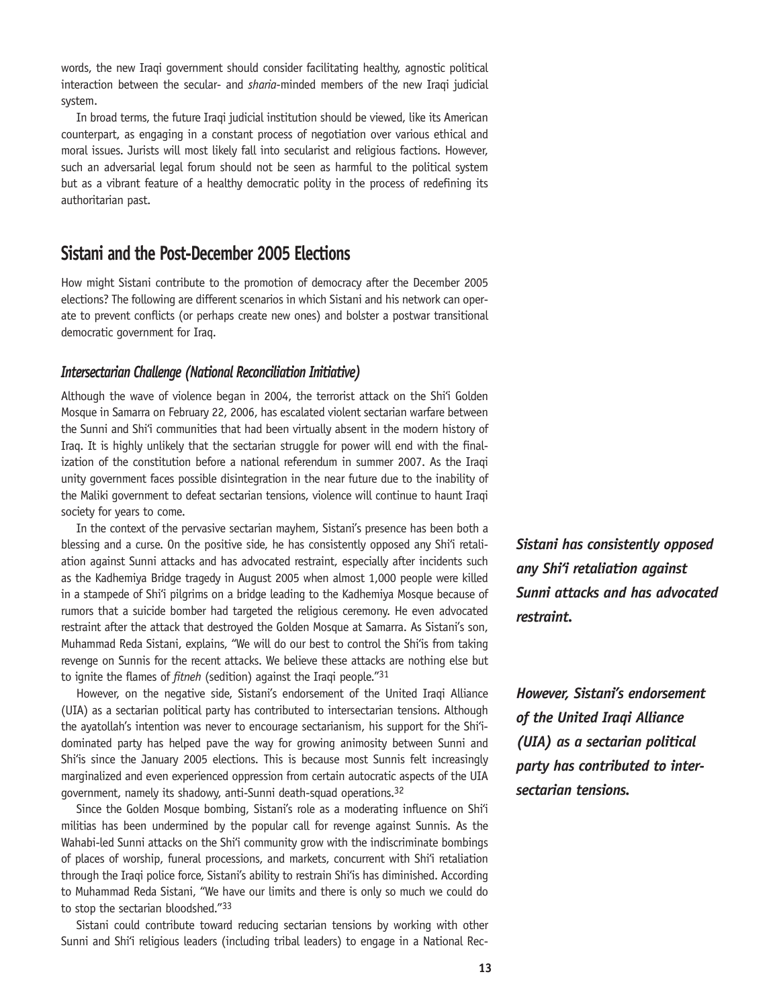words, the new Iraqi government should consider facilitating healthy, agnostic political interaction between the secular- and *sharia*-minded members of the new Iraqi judicial system.

In broad terms, the future Iraqi judicial institution should be viewed, like its American counterpart, as engaging in a constant process of negotiation over various ethical and moral issues. Jurists will most likely fall into secularist and religious factions. However, such an adversarial legal forum should not be seen as harmful to the political system but as a vibrant feature of a healthy democratic polity in the process of redefining its authoritarian past.

## **Sistani and the Post-December 2005 Elections**

How might Sistani contribute to the promotion of democracy after the December 2005 elections? The following are different scenarios in which Sistani and his network can operate to prevent conflicts (or perhaps create new ones) and bolster a postwar transitional democratic government for Iraq.

#### *Intersectarian Challenge (National Reconciliation Initiative)*

Although the wave of violence began in 2004, the terrorist attack on the Shi'i Golden Mosque in Samarra on February 22, 2006, has escalated violent sectarian warfare between the Sunni and Shi'i communities that had been virtually absent in the modern history of Iraq. It is highly unlikely that the sectarian struggle for power will end with the finalization of the constitution before a national referendum in summer 2007. As the Iraqi unity government faces possible disintegration in the near future due to the inability of the Maliki government to defeat sectarian tensions, violence will continue to haunt Iraqi society for years to come.

In the context of the pervasive sectarian mayhem, Sistani's presence has been both a blessing and a curse. On the positive side, he has consistently opposed any Shi'i retaliation against Sunni attacks and has advocated restraint, especially after incidents such as the Kadhemiya Bridge tragedy in August 2005 when almost 1,000 people were killed in a stampede of Shi'i pilgrims on a bridge leading to the Kadhemiya Mosque because of rumors that a suicide bomber had targeted the religious ceremony. He even advocated restraint after the attack that destroyed the Golden Mosque at Samarra. As Sistani's son, Muhammad Reda Sistani, explains, "We will do our best to control the Shi'is from taking revenge on Sunnis for the recent attacks. We believe these attacks are nothing else but to ignite the flames of *fitneh* (sedition) against the Iraqi people."31

However, on the negative side, Sistani's endorsement of the United Iraqi Alliance (UIA) as a sectarian political party has contributed to intersectarian tensions. Although the ayatollah's intention was never to encourage sectarianism, his support for the Shi'idominated party has helped pave the way for growing animosity between Sunni and Shi'is since the January 2005 elections. This is because most Sunnis felt increasingly marginalized and even experienced oppression from certain autocratic aspects of the UIA government, namely its shadowy, anti-Sunni death-squad operations.32

Since the Golden Mosque bombing, Sistani's role as a moderating influence on Shi'i militias has been undermined by the popular call for revenge against Sunnis. As the Wahabi-led Sunni attacks on the Shi'i community grow with the indiscriminate bombings of places of worship, funeral processions, and markets, concurrent with Shi'i retaliation through the Iraqi police force, Sistani's ability to restrain Shi'is has diminished. According to Muhammad Reda Sistani, "We have our limits and there is only so much we could do to stop the sectarian bloodshed."33

Sistani could contribute toward reducing sectarian tensions by working with other Sunni and Shi'i religious leaders (including tribal leaders) to engage in a National Rec*Sistani has consistently opposed any Shi'i retaliation against Sunni attacks and has advocated restraint.* 

*However, Sistani's endorsement of the United Iraqi Alliance (UIA) as a sectarian political party has contributed to intersectarian tensions.*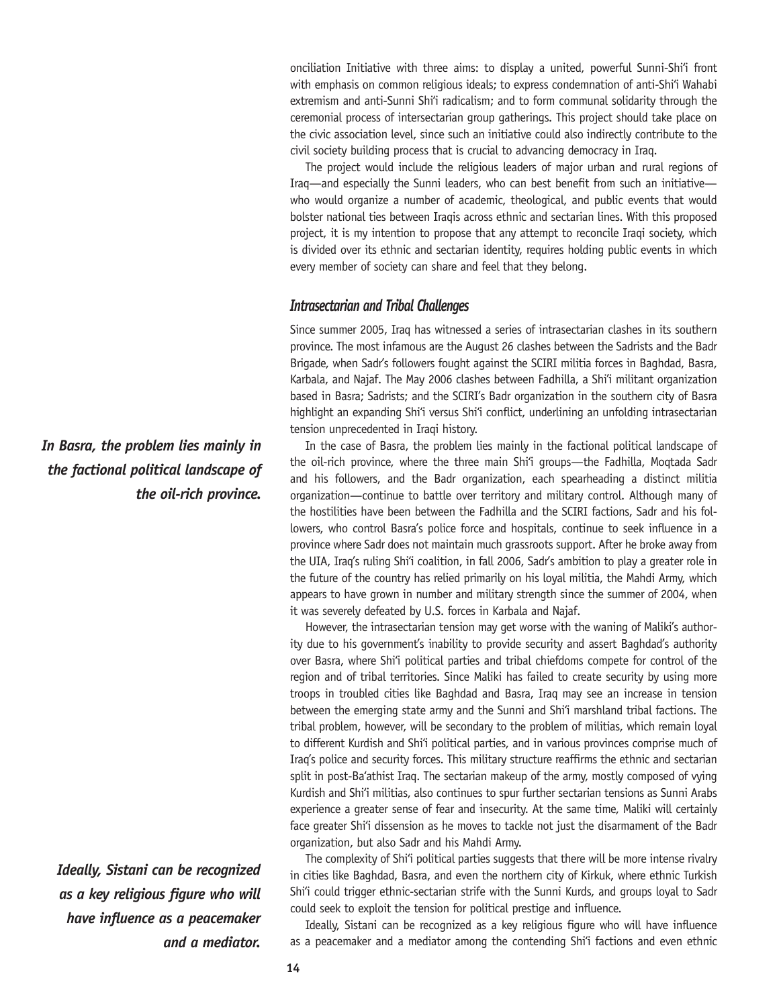onciliation Initiative with three aims: to display a united, powerful Sunni-Shi'i front with emphasis on common religious ideals; to express condemnation of anti-Shi'i Wahabi extremism and anti-Sunni Shi'i radicalism; and to form communal solidarity through the ceremonial process of intersectarian group gatherings. This project should take place on the civic association level, since such an initiative could also indirectly contribute to the civil society building process that is crucial to advancing democracy in Iraq.

The project would include the religious leaders of major urban and rural regions of Iraq—and especially the Sunni leaders, who can best benefit from such an initiative who would organize a number of academic, theological, and public events that would bolster national ties between Iraqis across ethnic and sectarian lines. With this proposed project, it is my intention to propose that any attempt to reconcile Iraqi society, which is divided over its ethnic and sectarian identity, requires holding public events in which every member of society can share and feel that they belong.

#### *Intrasectarian and Tribal Challenges*

Since summer 2005, Iraq has witnessed a series of intrasectarian clashes in its southern province. The most infamous are the August 26 clashes between the Sadrists and the Badr Brigade, when Sadr's followers fought against the SCIRI militia forces in Baghdad, Basra, Karbala, and Najaf. The May 2006 clashes between Fadhilla, a Shi'i militant organization based in Basra; Sadrists; and the SCIRI's Badr organization in the southern city of Basra highlight an expanding Shi'i versus Shi'i conflict, underlining an unfolding intrasectarian tension unprecedented in Iraqi history.

In the case of Basra, the problem lies mainly in the factional political landscape of the oil-rich province, where the three main Shi'i groups—the Fadhilla, Moqtada Sadr and his followers, and the Badr organization, each spearheading a distinct militia organization—continue to battle over territory and military control. Although many of the hostilities have been between the Fadhilla and the SCIRI factions, Sadr and his followers, who control Basra's police force and hospitals, continue to seek influence in a province where Sadr does not maintain much grassroots support. After he broke away from the UIA, Iraq's ruling Shi'i coalition, in fall 2006, Sadr's ambition to play a greater role in the future of the country has relied primarily on his loyal militia, the Mahdi Army, which appears to have grown in number and military strength since the summer of 2004, when it was severely defeated by U.S. forces in Karbala and Najaf.

However, the intrasectarian tension may get worse with the waning of Maliki's authority due to his government's inability to provide security and assert Baghdad's authority over Basra, where Shi'i political parties and tribal chiefdoms compete for control of the region and of tribal territories. Since Maliki has failed to create security by using more troops in troubled cities like Baghdad and Basra, Iraq may see an increase in tension between the emerging state army and the Sunni and Shi'i marshland tribal factions. The tribal problem, however, will be secondary to the problem of militias, which remain loyal to different Kurdish and Shi'i political parties, and in various provinces comprise much of Iraq's police and security forces. This military structure reaffirms the ethnic and sectarian split in post-Ba'athist Iraq. The sectarian makeup of the army, mostly composed of vying Kurdish and Shi'i militias, also continues to spur further sectarian tensions as Sunni Arabs experience a greater sense of fear and insecurity. At the same time, Maliki will certainly face greater Shi'i dissension as he moves to tackle not just the disarmament of the Badr organization, but also Sadr and his Mahdi Army.

The complexity of Shi'i political parties suggests that there will be more intense rivalry in cities like Baghdad, Basra, and even the northern city of Kirkuk, where ethnic Turkish Shi'i could trigger ethnic-sectarian strife with the Sunni Kurds, and groups loyal to Sadr could seek to exploit the tension for political prestige and influence.

Ideally, Sistani can be recognized as a key religious figure who will have influence as a peacemaker and a mediator among the contending Shi'i factions and even ethnic

*In Basra, the problem lies mainly in the factional political landscape of the oil-rich province.*

*Ideally, Sistani can be recognized as a key religious figure who will have influence as a peacemaker and a mediator.*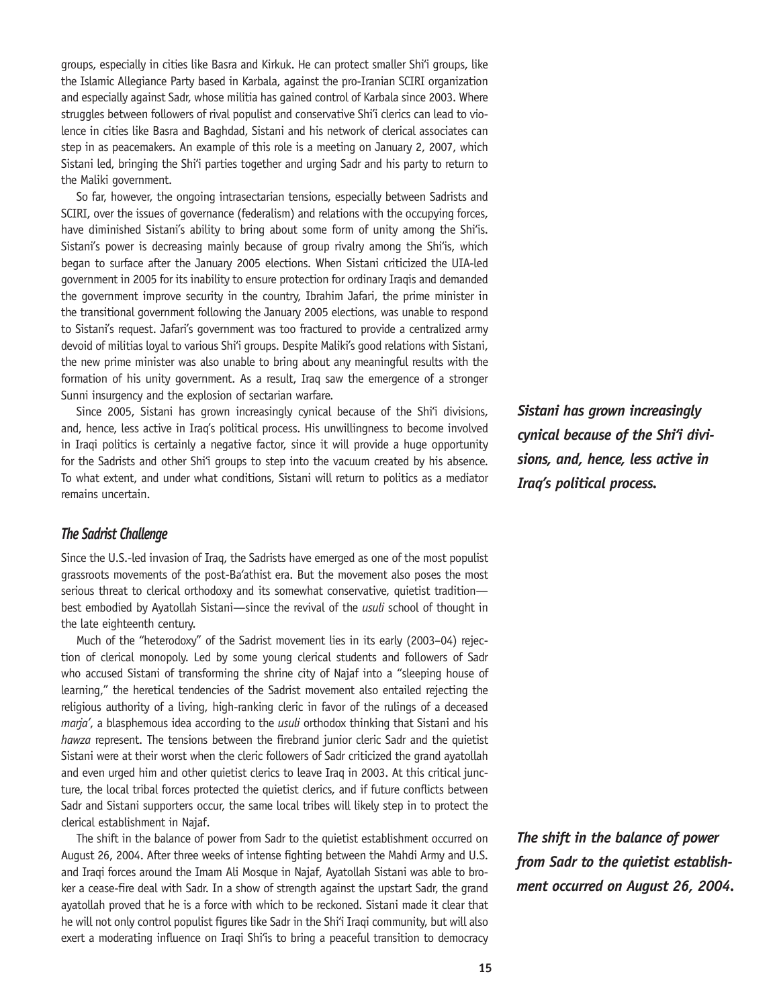groups, especially in cities like Basra and Kirkuk. He can protect smaller Shi'i groups, like the Islamic Allegiance Party based in Karbala, against the pro-Iranian SCIRI organization and especially against Sadr, whose militia has gained control of Karbala since 2003. Where struggles between followers of rival populist and conservative Shi'i clerics can lead to violence in cities like Basra and Baghdad, Sistani and his network of clerical associates can step in as peacemakers. An example of this role is a meeting on January 2, 2007, which Sistani led, bringing the Shi'i parties together and urging Sadr and his party to return to the Maliki government.

So far, however, the ongoing intrasectarian tensions, especially between Sadrists and SCIRI, over the issues of governance (federalism) and relations with the occupying forces, have diminished Sistani's ability to bring about some form of unity among the Shi'is. Sistani's power is decreasing mainly because of group rivalry among the Shi'is, which began to surface after the January 2005 elections. When Sistani criticized the UIA-led government in 2005 for its inability to ensure protection for ordinary Iraqis and demanded the government improve security in the country, Ibrahim Jafari, the prime minister in the transitional government following the January 2005 elections, was unable to respond to Sistani's request. Jafari's government was too fractured to provide a centralized army devoid of militias loyal to various Shi'i groups. Despite Maliki's good relations with Sistani, the new prime minister was also unable to bring about any meaningful results with the formation of his unity government. As a result, Iraq saw the emergence of a stronger Sunni insurgency and the explosion of sectarian warfare.

Since 2005, Sistani has grown increasingly cynical because of the Shi'i divisions, and, hence, less active in Iraq's political process. His unwillingness to become involved in Iraqi politics is certainly a negative factor, since it will provide a huge opportunity for the Sadrists and other Shi'i groups to step into the vacuum created by his absence. To what extent, and under what conditions, Sistani will return to politics as a mediator remains uncertain.

#### *The Sadrist Challenge*

Since the U.S.-led invasion of Iraq, the Sadrists have emerged as one of the most populist grassroots movements of the post-Ba'athist era. But the movement also poses the most serious threat to clerical orthodoxy and its somewhat conservative, quietist tradition best embodied by Ayatollah Sistani—since the revival of the *usuli* school of thought in the late eighteenth century.

Much of the "heterodoxy" of the Sadrist movement lies in its early (2003–04) rejection of clerical monopoly. Led by some young clerical students and followers of Sadr who accused Sistani of transforming the shrine city of Najaf into a "sleeping house of learning," the heretical tendencies of the Sadrist movement also entailed rejecting the religious authority of a living, high-ranking cleric in favor of the rulings of a deceased *marja'*, a blasphemous idea according to the *usuli* orthodox thinking that Sistani and his *hawza* represent. The tensions between the firebrand junior cleric Sadr and the quietist Sistani were at their worst when the cleric followers of Sadr criticized the grand ayatollah and even urged him and other quietist clerics to leave Iraq in 2003. At this critical juncture, the local tribal forces protected the quietist clerics, and if future conflicts between Sadr and Sistani supporters occur, the same local tribes will likely step in to protect the clerical establishment in Najaf.

The shift in the balance of power from Sadr to the quietist establishment occurred on August 26, 2004. After three weeks of intense fighting between the Mahdi Army and U.S. and Iraqi forces around the Imam Ali Mosque in Najaf, Ayatollah Sistani was able to broker a cease-fire deal with Sadr. In a show of strength against the upstart Sadr, the grand ayatollah proved that he is a force with which to be reckoned. Sistani made it clear that he will not only control populist figures like Sadr in the Shi'i Iraqi community, but will also exert a moderating influence on Iraqi Shi'is to bring a peaceful transition to democracy *Sistani has grown increasingly cynical because of the Shi'i divisions, and, hence, less active in Iraq's political process.*

*The shift in the balance of power from Sadr to the quietist establishment occurred on August 26, 2004.*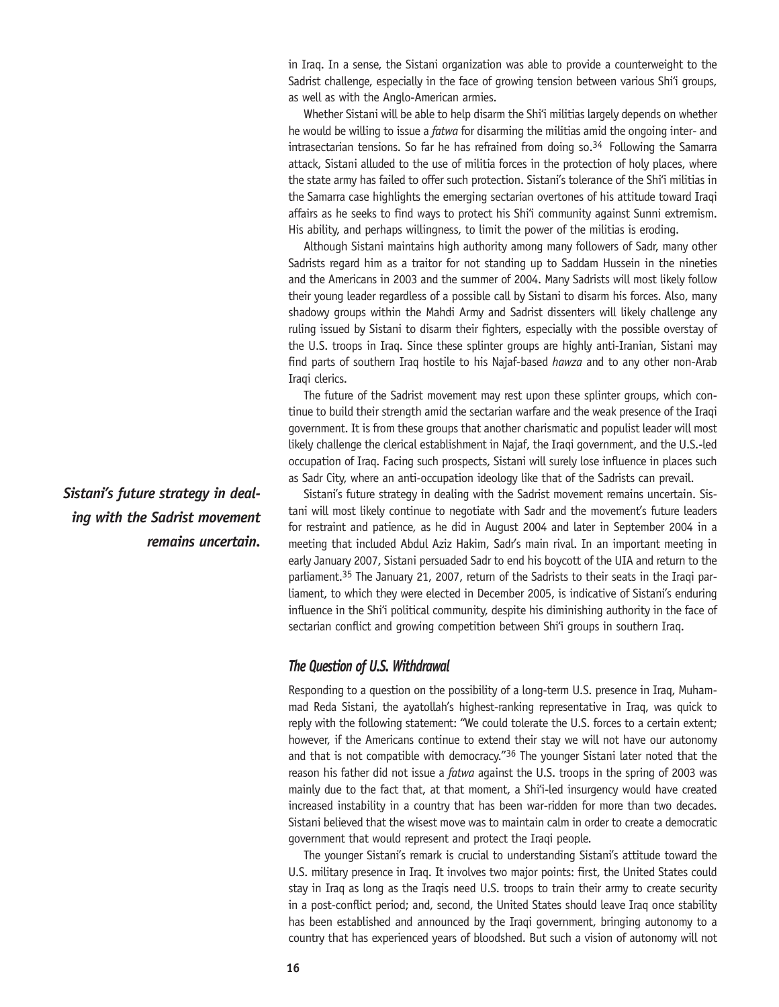in Iraq. In a sense, the Sistani organization was able to provide a counterweight to the Sadrist challenge, especially in the face of growing tension between various Shi'i groups, as well as with the Anglo-American armies.

Whether Sistani will be able to help disarm the Shi'i militias largely depends on whether he would be willing to issue a *fatwa* for disarming the militias amid the ongoing inter- and intrasectarian tensions. So far he has refrained from doing so.<sup>34</sup> Following the Samarra attack, Sistani alluded to the use of militia forces in the protection of holy places, where the state army has failed to offer such protection. Sistani's tolerance of the Shi'i militias in the Samarra case highlights the emerging sectarian overtones of his attitude toward Iraqi affairs as he seeks to find ways to protect his Shi'i community against Sunni extremism. His ability, and perhaps willingness, to limit the power of the militias is eroding.

Although Sistani maintains high authority among many followers of Sadr, many other Sadrists regard him as a traitor for not standing up to Saddam Hussein in the nineties and the Americans in 2003 and the summer of 2004. Many Sadrists will most likely follow their young leader regardless of a possible call by Sistani to disarm his forces. Also, many shadowy groups within the Mahdi Army and Sadrist dissenters will likely challenge any ruling issued by Sistani to disarm their fighters, especially with the possible overstay of the U.S. troops in Iraq. Since these splinter groups are highly anti-Iranian, Sistani may find parts of southern Iraq hostile to his Najaf-based *hawza* and to any other non-Arab Iraqi clerics.

The future of the Sadrist movement may rest upon these splinter groups, which continue to build their strength amid the sectarian warfare and the weak presence of the Iraqi government. It is from these groups that another charismatic and populist leader will most likely challenge the clerical establishment in Najaf, the Iraqi government, and the U.S.-led occupation of Iraq. Facing such prospects, Sistani will surely lose influence in places such as Sadr City, where an anti-occupation ideology like that of the Sadrists can prevail.

Sistani's future strategy in dealing with the Sadrist movement remains uncertain. Sistani will most likely continue to negotiate with Sadr and the movement's future leaders for restraint and patience, as he did in August 2004 and later in September 2004 in a meeting that included Abdul Aziz Hakim, Sadr's main rival. In an important meeting in early January 2007, Sistani persuaded Sadr to end his boycott of the UIA and return to the parliament.<sup>35</sup> The January 21, 2007, return of the Sadrists to their seats in the Iraqi parliament, to which they were elected in December 2005, is indicative of Sistani's enduring influence in the Shi'i political community, despite his diminishing authority in the face of sectarian conflict and growing competition between Shi'i groups in southern Iraq.

#### *The Question of U.S. Withdrawal*

Responding to a question on the possibility of a long-term U.S. presence in Iraq, Muhammad Reda Sistani, the ayatollah's highest-ranking representative in Iraq, was quick to reply with the following statement: "We could tolerate the U.S. forces to a certain extent; however, if the Americans continue to extend their stay we will not have our autonomy and that is not compatible with democracy.<sup> $r$ 36</sup> The younger Sistani later noted that the reason his father did not issue a *fatwa* against the U.S. troops in the spring of 2003 was mainly due to the fact that, at that moment, a Shi'i-led insurgency would have created increased instability in a country that has been war-ridden for more than two decades. Sistani believed that the wisest move was to maintain calm in order to create a democratic government that would represent and protect the Iraqi people.

The younger Sistani's remark is crucial to understanding Sistani's attitude toward the U.S. military presence in Iraq. It involves two major points: first, the United States could stay in Iraq as long as the Iraqis need U.S. troops to train their army to create security in a post-conflict period; and, second, the United States should leave Iraq once stability has been established and announced by the Iraqi government, bringing autonomy to a country that has experienced years of bloodshed. But such a vision of autonomy will not

*Sistani's future strategy in dealing with the Sadrist movement remains uncertain.*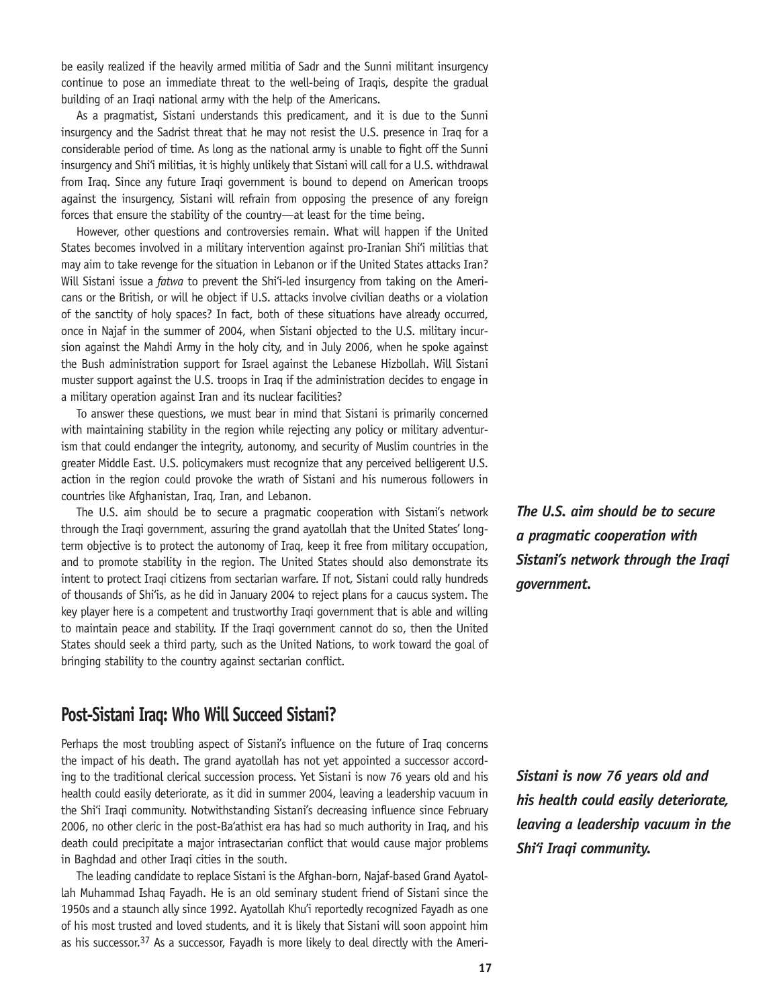be easily realized if the heavily armed militia of Sadr and the Sunni militant insurgency continue to pose an immediate threat to the well-being of Iraqis, despite the gradual building of an Iraqi national army with the help of the Americans.

As a pragmatist, Sistani understands this predicament, and it is due to the Sunni insurgency and the Sadrist threat that he may not resist the U.S. presence in Iraq for a considerable period of time. As long as the national army is unable to fight off the Sunni insurgency and Shi'i militias, it is highly unlikely that Sistani will call for a U.S. withdrawal from Iraq. Since any future Iraqi government is bound to depend on American troops against the insurgency, Sistani will refrain from opposing the presence of any foreign forces that ensure the stability of the country—at least for the time being.

However, other questions and controversies remain. What will happen if the United States becomes involved in a military intervention against pro-Iranian Shi'i militias that may aim to take revenge for the situation in Lebanon or if the United States attacks Iran? Will Sistani issue a *fatwa* to prevent the Shi'i-led insurgency from taking on the Americans or the British, or will he object if U.S. attacks involve civilian deaths or a violation of the sanctity of holy spaces? In fact, both of these situations have already occurred, once in Najaf in the summer of 2004, when Sistani objected to the U.S. military incursion against the Mahdi Army in the holy city, and in July 2006, when he spoke against the Bush administration support for Israel against the Lebanese Hizbollah. Will Sistani muster support against the U.S. troops in Iraq if the administration decides to engage in a military operation against Iran and its nuclear facilities?

To answer these questions, we must bear in mind that Sistani is primarily concerned with maintaining stability in the region while rejecting any policy or military adventurism that could endanger the integrity, autonomy, and security of Muslim countries in the greater Middle East. U.S. policymakers must recognize that any perceived belligerent U.S. action in the region could provoke the wrath of Sistani and his numerous followers in countries like Afghanistan, Iraq, Iran, and Lebanon.

The U.S. aim should be to secure a pragmatic cooperation with Sistani's network through the Iraqi government, assuring the grand ayatollah that the United States' longterm objective is to protect the autonomy of Iraq, keep it free from military occupation, and to promote stability in the region. The United States should also demonstrate its intent to protect Iraqi citizens from sectarian warfare. If not, Sistani could rally hundreds of thousands of Shi'is, as he did in January 2004 to reject plans for a caucus system. The key player here is a competent and trustworthy Iraqi government that is able and willing to maintain peace and stability. If the Iraqi government cannot do so, then the United States should seek a third party, such as the United Nations, to work toward the goal of bringing stability to the country against sectarian conflict.

## **Post-Sistani Iraq: Who Will Succeed Sistani?**

Perhaps the most troubling aspect of Sistani's influence on the future of Iraq concerns the impact of his death. The grand ayatollah has not yet appointed a successor according to the traditional clerical succession process. Yet Sistani is now 76 years old and his health could easily deteriorate, as it did in summer 2004, leaving a leadership vacuum in the Shi'i Iraqi community. Notwithstanding Sistani's decreasing influence since February 2006, no other cleric in the post-Ba'athist era has had so much authority in Iraq, and his death could precipitate a major intrasectarian conflict that would cause major problems in Baghdad and other Iraqi cities in the south.

The leading candidate to replace Sistani is the Afghan-born, Najaf-based Grand Ayatollah Muhammad Ishaq Fayadh. He is an old seminary student friend of Sistani since the 1950s and a staunch ally since 1992. Ayatollah Khu'i reportedly recognized Fayadh as one of his most trusted and loved students, and it is likely that Sistani will soon appoint him as his successor.<sup>37</sup> As a successor, Fayadh is more likely to deal directly with the Ameri*The U.S. aim should be to secure a pragmatic cooperation with Sistani's network through the Iraqi government.* 

*Sistani is now 76 years old and his health could easily deteriorate, leaving a leadership vacuum in the Shi'i Iraqi community.*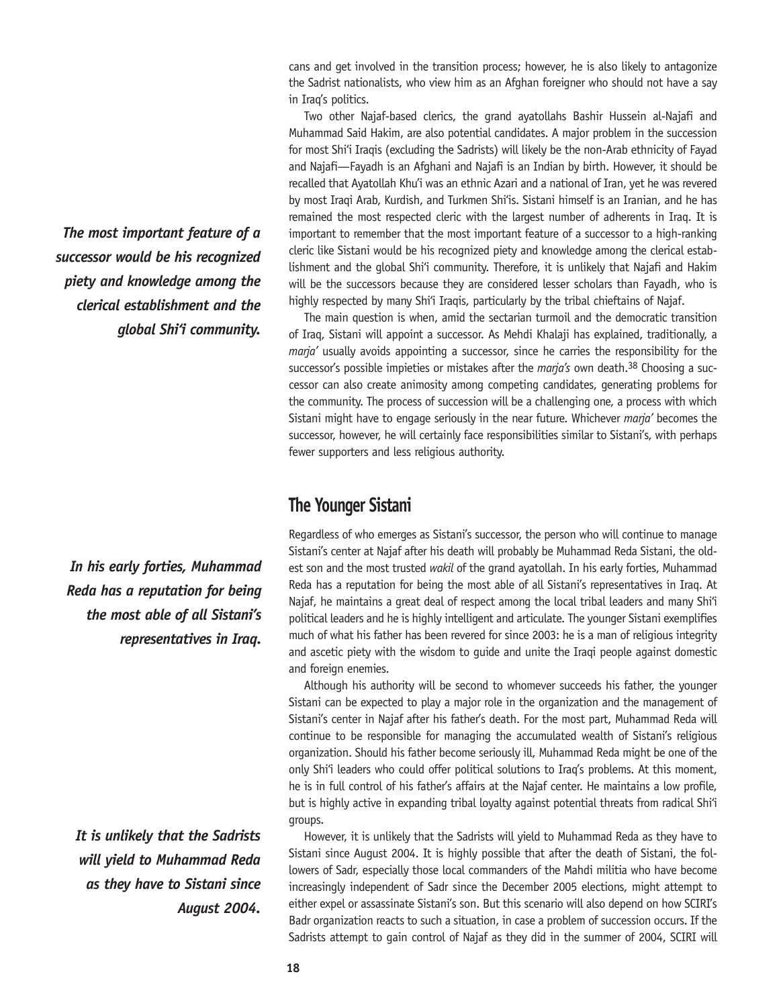cans and get involved in the transition process; however, he is also likely to antagonize the Sadrist nationalists, who view him as an Afghan foreigner who should not have a say in Iraq's politics.

Two other Najaf-based clerics, the grand ayatollahs Bashir Hussein al-Najafi and Muhammad Said Hakim, are also potential candidates. A major problem in the succession for most Shi'i Iraqis (excluding the Sadrists) will likely be the non-Arab ethnicity of Fayad and Najafi—Fayadh is an Afghani and Najafi is an Indian by birth. However, it should be recalled that Ayatollah Khu'i was an ethnic Azari and a national of Iran, yet he was revered by most Iraqi Arab, Kurdish, and Turkmen Shi'is. Sistani himself is an Iranian, and he has remained the most respected cleric with the largest number of adherents in Iraq. It is important to remember that the most important feature of a successor to a high-ranking cleric like Sistani would be his recognized piety and knowledge among the clerical establishment and the global Shi'i community. Therefore, it is unlikely that Najafi and Hakim will be the successors because they are considered lesser scholars than Fayadh, who is highly respected by many Shi'i Iraqis, particularly by the tribal chieftains of Najaf.

The main question is when, amid the sectarian turmoil and the democratic transition of Iraq, Sistani will appoint a successor. As Mehdi Khalaji has explained, traditionally, a *marja'* usually avoids appointing a successor, since he carries the responsibility for the successor's possible impieties or mistakes after the *marja's* own death.38 Choosing a successor can also create animosity among competing candidates, generating problems for the community. The process of succession will be a challenging one, a process with which Sistani might have to engage seriously in the near future. Whichever *marja'* becomes the successor, however, he will certainly face responsibilities similar to Sistani's, with perhaps fewer supporters and less religious authority.

## **The Younger Sistani**

Regardless of who emerges as Sistani's successor, the person who will continue to manage Sistani's center at Najaf after his death will probably be Muhammad Reda Sistani, the oldest son and the most trusted *wakil* of the grand ayatollah. In his early forties, Muhammad Reda has a reputation for being the most able of all Sistani's representatives in Iraq. At Najaf, he maintains a great deal of respect among the local tribal leaders and many Shi'i political leaders and he is highly intelligent and articulate. The younger Sistani exemplifies much of what his father has been revered for since 2003: he is a man of religious integrity and ascetic piety with the wisdom to guide and unite the Iraqi people against domestic and foreign enemies.

Although his authority will be second to whomever succeeds his father, the younger Sistani can be expected to play a major role in the organization and the management of Sistani's center in Najaf after his father's death. For the most part, Muhammad Reda will continue to be responsible for managing the accumulated wealth of Sistani's religious organization. Should his father become seriously ill, Muhammad Reda might be one of the only Shi'i leaders who could offer political solutions to Iraq's problems. At this moment, he is in full control of his father's affairs at the Najaf center. He maintains a low profile, but is highly active in expanding tribal loyalty against potential threats from radical Shi'i groups.

However, it is unlikely that the Sadrists will yield to Muhammad Reda as they have to Sistani since August 2004. It is highly possible that after the death of Sistani, the followers of Sadr, especially those local commanders of the Mahdi militia who have become increasingly independent of Sadr since the December 2005 elections, might attempt to either expel or assassinate Sistani's son. But this scenario will also depend on how SCIRI's Badr organization reacts to such a situation, in case a problem of succession occurs. If the Sadrists attempt to gain control of Najaf as they did in the summer of 2004, SCIRI will

*The most important feature of a successor would be his recognized piety and knowledge among the clerical establishment and the global Shi'i community.*

*In his early forties, Muhammad Reda has a reputation for being the most able of all Sistani's representatives in Iraq.*

*It is unlikely that the Sadrists will yield to Muhammad Reda as they have to Sistani since August 2004.*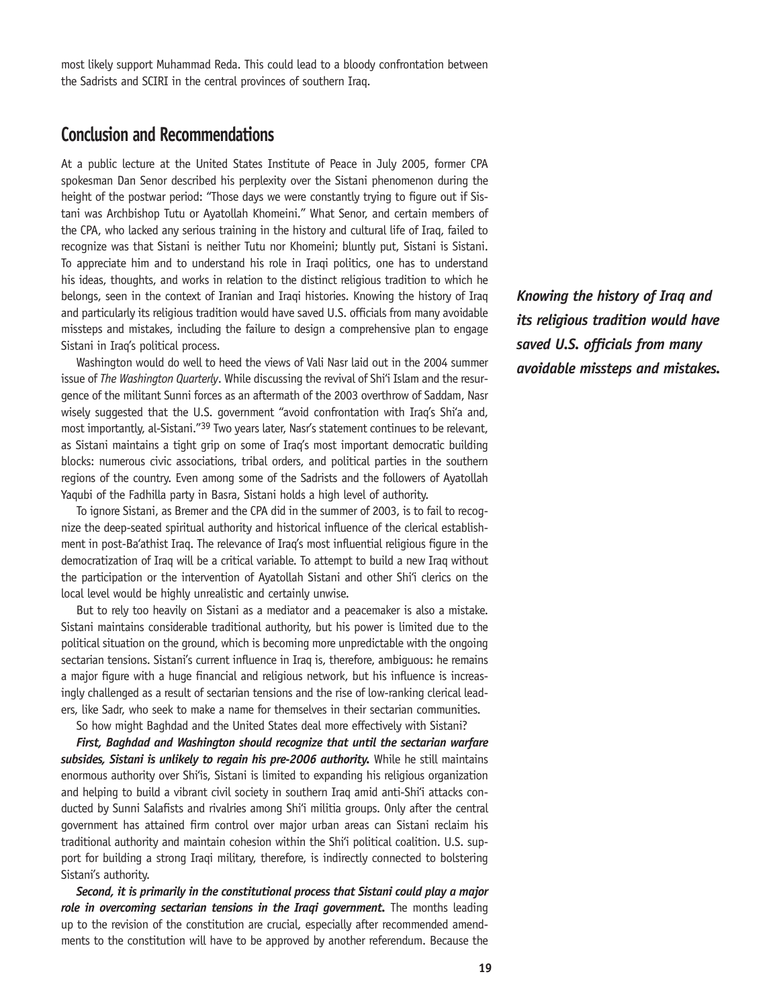most likely support Muhammad Reda. This could lead to a bloody confrontation between the Sadrists and SCIRI in the central provinces of southern Iraq.

## **Conclusion and Recommendations**

At a public lecture at the United States Institute of Peace in July 2005, former CPA spokesman Dan Senor described his perplexity over the Sistani phenomenon during the height of the postwar period: "Those days we were constantly trying to figure out if Sistani was Archbishop Tutu or Ayatollah Khomeini." What Senor, and certain members of the CPA, who lacked any serious training in the history and cultural life of Iraq, failed to recognize was that Sistani is neither Tutu nor Khomeini; bluntly put, Sistani is Sistani. To appreciate him and to understand his role in Iraqi politics, one has to understand his ideas, thoughts, and works in relation to the distinct religious tradition to which he belongs, seen in the context of Iranian and Iraqi histories. Knowing the history of Iraq and particularly its religious tradition would have saved U.S. officials from many avoidable missteps and mistakes, including the failure to design a comprehensive plan to engage Sistani in Iraq's political process.

Washington would do well to heed the views of Vali Nasr laid out in the 2004 summer issue of *The Washington Quarterly*. While discussing the revival of Shi'i Islam and the resurgence of the militant Sunni forces as an aftermath of the 2003 overthrow of Saddam, Nasr wisely suggested that the U.S. government "avoid confrontation with Iraq's Shi'a and, most importantly, al-Sistani."39 Two years later, Nasr's statement continues to be relevant, as Sistani maintains a tight grip on some of Iraq's most important democratic building blocks: numerous civic associations, tribal orders, and political parties in the southern regions of the country. Even among some of the Sadrists and the followers of Ayatollah Yaqubi of the Fadhilla party in Basra, Sistani holds a high level of authority.

To ignore Sistani, as Bremer and the CPA did in the summer of 2003, is to fail to recognize the deep-seated spiritual authority and historical influence of the clerical establishment in post-Ba'athist Iraq. The relevance of Iraq's most influential religious figure in the democratization of Iraq will be a critical variable. To attempt to build a new Iraq without the participation or the intervention of Ayatollah Sistani and other Shi'i clerics on the local level would be highly unrealistic and certainly unwise.

But to rely too heavily on Sistani as a mediator and a peacemaker is also a mistake. Sistani maintains considerable traditional authority, but his power is limited due to the political situation on the ground, which is becoming more unpredictable with the ongoing sectarian tensions. Sistani's current influence in Iraq is, therefore, ambiguous: he remains a major figure with a huge financial and religious network, but his influence is increasingly challenged as a result of sectarian tensions and the rise of low-ranking clerical leaders, like Sadr, who seek to make a name for themselves in their sectarian communities.

So how might Baghdad and the United States deal more effectively with Sistani?

*First, Baghdad and Washington should recognize that until the sectarian warfare*  subsides, Sistani is unlikely to regain his pre-2006 authority. While he still maintains enormous authority over Shi'is, Sistani is limited to expanding his religious organization and helping to build a vibrant civil society in southern Iraq amid anti-Shi'i attacks conducted by Sunni Salafists and rivalries among Shi'i militia groups. Only after the central government has attained firm control over major urban areas can Sistani reclaim his traditional authority and maintain cohesion within the Shi'i political coalition. U.S. support for building a strong Iraqi military, therefore, is indirectly connected to bolstering Sistani's authority.

*Second, it is primarily in the constitutional process that Sistani could play a major*  role in overcoming sectarian tensions in the Iraqi government. The months leading up to the revision of the constitution are crucial, especially after recommended amendments to the constitution will have to be approved by another referendum. Because the *Knowing the history of Iraq and its religious tradition would have saved U.S. officials from many avoidable missteps and mistakes.*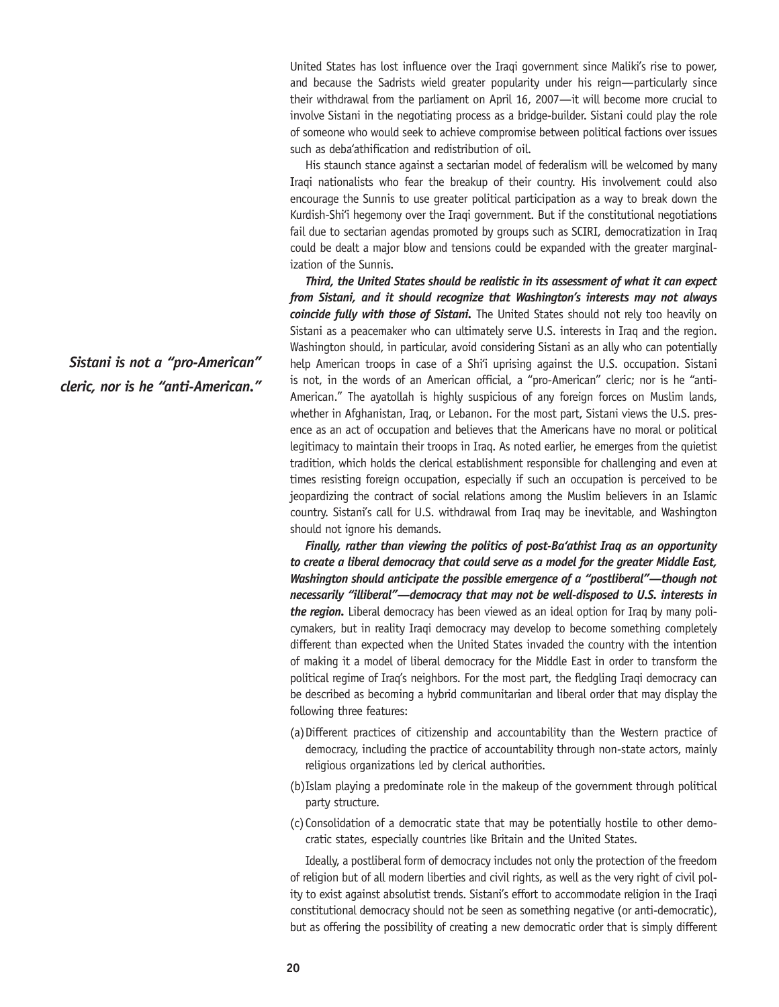United States has lost influence over the Iraqi government since Maliki's rise to power, and because the Sadrists wield greater popularity under his reign—particularly since their withdrawal from the parliament on April 16, 2007—it will become more crucial to involve Sistani in the negotiating process as a bridge-builder. Sistani could play the role of someone who would seek to achieve compromise between political factions over issues such as deba'athification and redistribution of oil.

His staunch stance against a sectarian model of federalism will be welcomed by many Iraqi nationalists who fear the breakup of their country. His involvement could also encourage the Sunnis to use greater political participation as a way to break down the Kurdish-Shi'i hegemony over the Iraqi government. But if the constitutional negotiations fail due to sectarian agendas promoted by groups such as SCIRI, democratization in Iraq could be dealt a major blow and tensions could be expanded with the greater marginalization of the Sunnis.

*Third, the United States should be realistic in its assessment of what it can expect from Sistani, and it should recognize that Washington's interests may not always coincide fully with those of Sistani.* The United States should not rely too heavily on Sistani as a peacemaker who can ultimately serve U.S. interests in Iraq and the region. Washington should, in particular, avoid considering Sistani as an ally who can potentially help American troops in case of a Shi'i uprising against the U.S. occupation. Sistani is not, in the words of an American official, a "pro-American" cleric; nor is he "anti-American." The ayatollah is highly suspicious of any foreign forces on Muslim lands, whether in Afghanistan, Iraq, or Lebanon. For the most part, Sistani views the U.S. presence as an act of occupation and believes that the Americans have no moral or political legitimacy to maintain their troops in Iraq. As noted earlier, he emerges from the quietist tradition, which holds the clerical establishment responsible for challenging and even at times resisting foreign occupation, especially if such an occupation is perceived to be jeopardizing the contract of social relations among the Muslim believers in an Islamic country. Sistani's call for U.S. withdrawal from Iraq may be inevitable, and Washington should not ignore his demands.

*Finally, rather than viewing the politics of post-Ba'athist Iraq as an opportunity to create a liberal democracy that could serve as a model for the greater Middle East, Washington should anticipate the possible emergence of a "postliberal"—though not necessarily "illiberal"—democracy that may not be well-disposed to U.S. interests in the region.* Liberal democracy has been viewed as an ideal option for Iraq by many policymakers, but in reality Iraqi democracy may develop to become something completely different than expected when the United States invaded the country with the intention of making it a model of liberal democracy for the Middle East in order to transform the political regime of Iraq's neighbors. For the most part, the fledgling Iraqi democracy can be described as becoming a hybrid communitarian and liberal order that may display the following three features:

- (a)Different practices of citizenship and accountability than the Western practice of democracy, including the practice of accountability through non-state actors, mainly religious organizations led by clerical authorities.
- (b)Islam playing a predominate role in the makeup of the government through political party structure.
- (c)Consolidation of a democratic state that may be potentially hostile to other democratic states, especially countries like Britain and the United States.

Ideally, a postliberal form of democracy includes not only the protection of the freedom of religion but of all modern liberties and civil rights, as well as the very right of civil polity to exist against absolutist trends. Sistani's effort to accommodate religion in the Iraqi constitutional democracy should not be seen as something negative (or anti-democratic), but as offering the possibility of creating a new democratic order that is simply different

*Sistani is not a "pro-American" cleric, nor is he "anti-American."*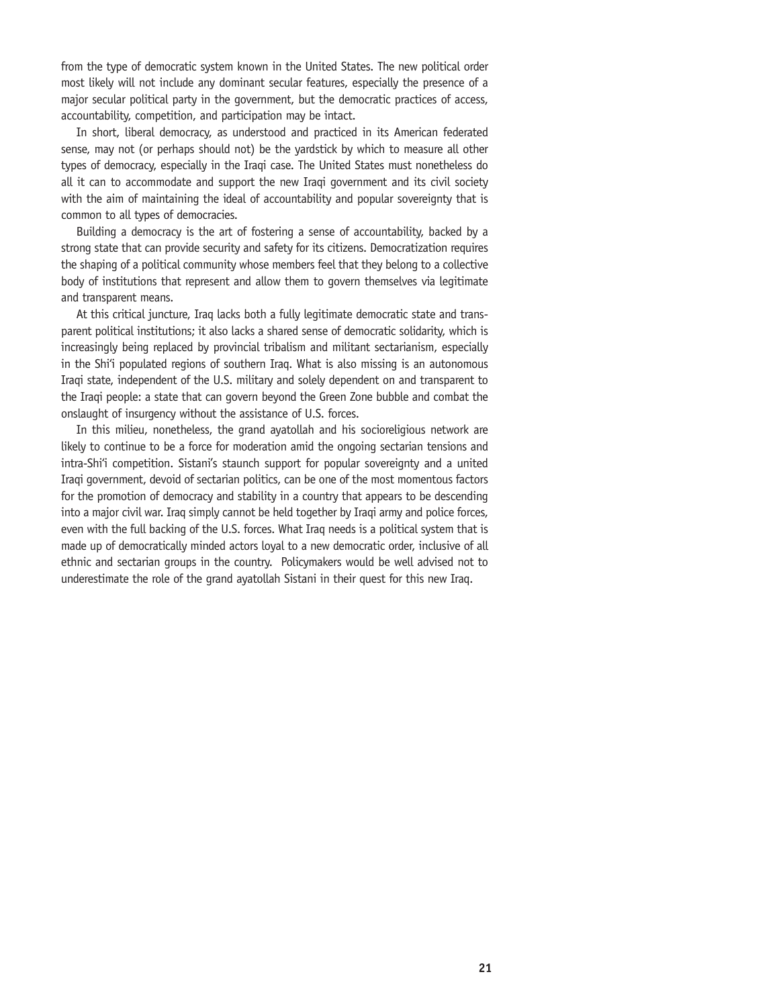from the type of democratic system known in the United States. The new political order most likely will not include any dominant secular features, especially the presence of a major secular political party in the government, but the democratic practices of access, accountability, competition, and participation may be intact.

In short, liberal democracy, as understood and practiced in its American federated sense, may not (or perhaps should not) be the yardstick by which to measure all other types of democracy, especially in the Iraqi case. The United States must nonetheless do all it can to accommodate and support the new Iraqi government and its civil society with the aim of maintaining the ideal of accountability and popular sovereignty that is common to all types of democracies.

Building a democracy is the art of fostering a sense of accountability, backed by a strong state that can provide security and safety for its citizens. Democratization requires the shaping of a political community whose members feel that they belong to a collective body of institutions that represent and allow them to govern themselves via legitimate and transparent means.

At this critical juncture, Iraq lacks both a fully legitimate democratic state and transparent political institutions; it also lacks a shared sense of democratic solidarity, which is increasingly being replaced by provincial tribalism and militant sectarianism, especially in the Shi'i populated regions of southern Iraq. What is also missing is an autonomous Iraqi state, independent of the U.S. military and solely dependent on and transparent to the Iraqi people: a state that can govern beyond the Green Zone bubble and combat the onslaught of insurgency without the assistance of U.S. forces.

In this milieu, nonetheless, the grand ayatollah and his socioreligious network are likely to continue to be a force for moderation amid the ongoing sectarian tensions and intra-Shi'i competition. Sistani's staunch support for popular sovereignty and a united Iraqi government, devoid of sectarian politics, can be one of the most momentous factors for the promotion of democracy and stability in a country that appears to be descending into a major civil war. Iraq simply cannot be held together by Iraqi army and police forces, even with the full backing of the U.S. forces. What Iraq needs is a political system that is made up of democratically minded actors loyal to a new democratic order, inclusive of all ethnic and sectarian groups in the country. Policymakers would be well advised not to underestimate the role of the grand ayatollah Sistani in their quest for this new Iraq.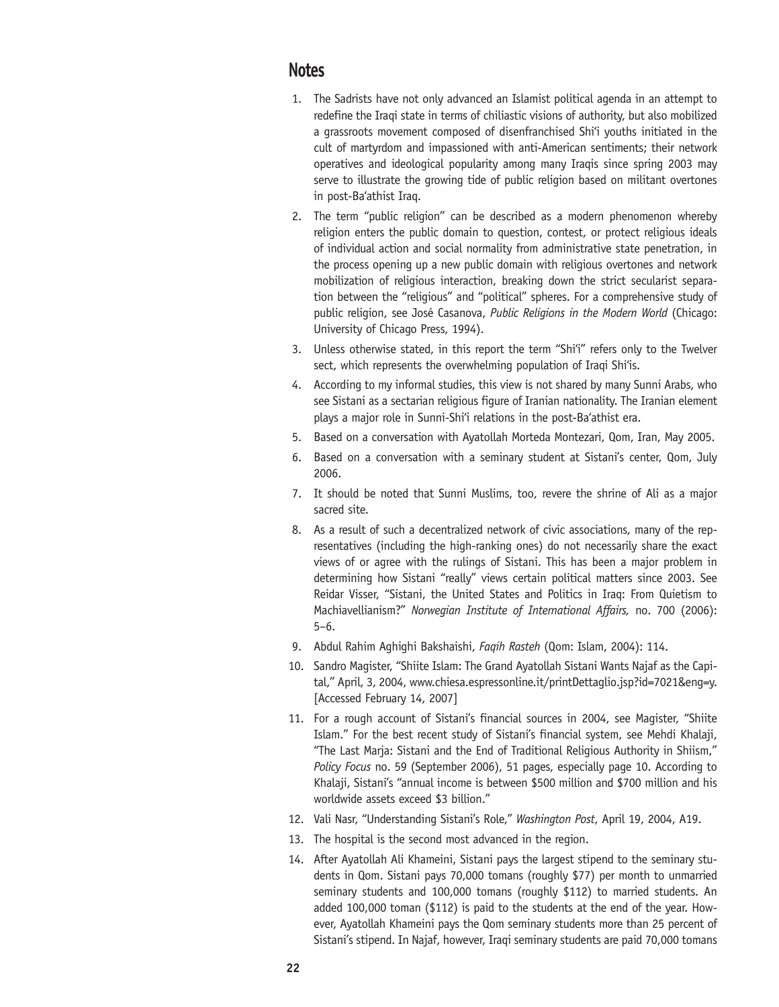## **Notes**

- 1. The Sadrists have not only advanced an Islamist political agenda in an attempt to redefine the Iraqi state in terms of chiliastic visions of authority, but also mobilized a grassroots movement composed of disenfranchised Shi'i youths initiated in the cult of martyrdom and impassioned with anti-American sentiments; their network operatives and ideological popularity among many Iraqis since spring 2003 may serve to illustrate the growing tide of public religion based on militant overtones in post-Ba'athist Iraq.
- 2. The term "public religion" can be described as a modern phenomenon whereby religion enters the public domain to question, contest, or protect religious ideals of individual action and social normality from administrative state penetration, in the process opening up a new public domain with religious overtones and network mobilization of religious interaction, breaking down the strict secularist separation between the "religious" and "political" spheres. For a comprehensive study of public religion, see José Casanova, *Public Religions in the Modern World* (Chicago: University of Chicago Press, 1994).
- 3. Unless otherwise stated, in this report the term "Shi'i" refers only to the Twelver sect, which represents the overwhelming population of Iraqi Shi'is.
- 4. According to my informal studies, this view is not shared by many Sunni Arabs, who see Sistani as a sectarian religious figure of Iranian nationality. The Iranian element plays a major role in Sunni-Shi'i relations in the post-Ba'athist era.
- 5. Based on a conversation with Ayatollah Morteda Montezari, Qom, Iran, May 2005.
- 6. Based on a conversation with a seminary student at Sistani's center, Qom, July 2006.
- 7. It should be noted that Sunni Muslims, too, revere the shrine of Ali as a major sacred site.
- 8. As a result of such a decentralized network of civic associations, many of the representatives (including the high-ranking ones) do not necessarily share the exact views of or agree with the rulings of Sistani. This has been a major problem in determining how Sistani "really" views certain political matters since 2003. See Reidar Visser, "Sistani, the United States and Politics in Iraq: From Quietism to Machiavellianism?" *Norwegian Institute of International Affairs,* no. 700 (2006): 5–6.
- 9. Abdul Rahim Aghighi Bakshaishi, *Faqih Rasteh* (Qom: Islam, 2004): 114.
- 10. Sandro Magister, "Shiite Islam: The Grand Ayatollah Sistani Wants Najaf as the Capital," April, 3, 2004, www.chiesa.espressonline.it/printDettaglio.jsp?id=7021&eng=y. [Accessed February 14, 2007]
- 11. For a rough account of Sistani's financial sources in 2004, see Magister, "Shiite Islam." For the best recent study of Sistani's financial system, see Mehdi Khalaji, "The Last Marja: Sistani and the End of Traditional Religious Authority in Shiism," *Policy Focus* no. 59 (September 2006), 51 pages, especially page 10. According to Khalaji, Sistani's "annual income is between \$500 million and \$700 million and his worldwide assets exceed \$3 billion."
- 12. Vali Nasr, "Understanding Sistani's Role," *Washington Post*, April 19, 2004, A19.
- 13. The hospital is the second most advanced in the region.
- 14. After Ayatollah Ali Khameini, Sistani pays the largest stipend to the seminary students in Qom. Sistani pays 70,000 tomans (roughly \$77) per month to unmarried seminary students and 100,000 tomans (roughly \$112) to married students. An added 100,000 toman (\$112) is paid to the students at the end of the year. However, Ayatollah Khameini pays the Qom seminary students more than 25 percent of Sistani's stipend. In Najaf, however, Iraqi seminary students are paid 70,000 tomans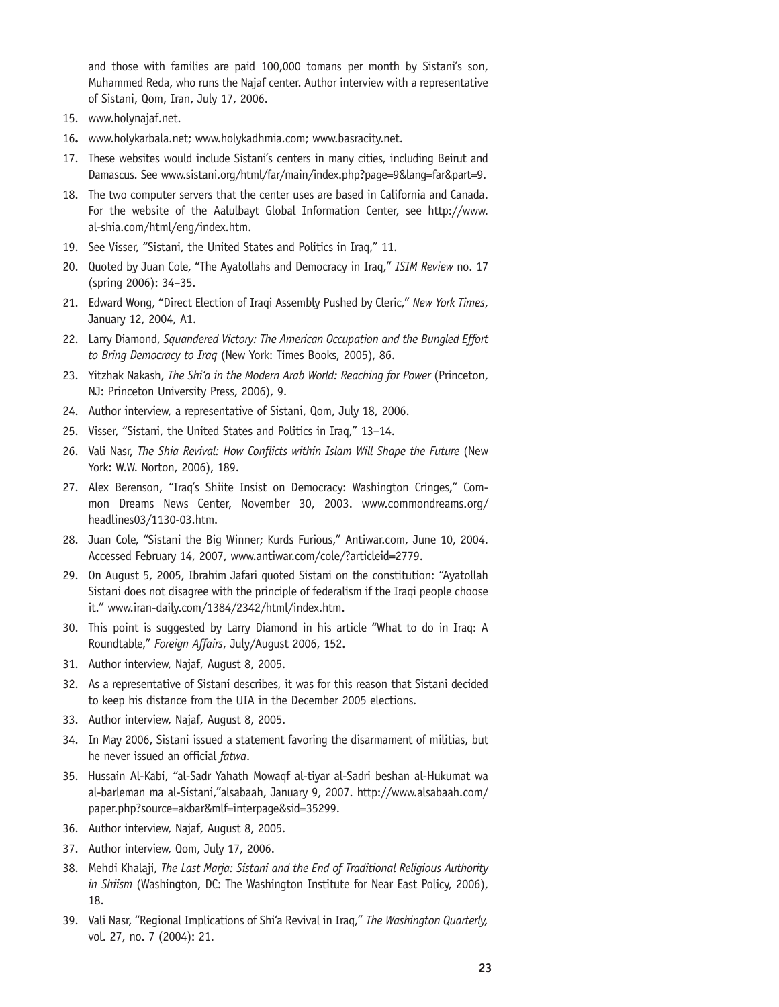and those with families are paid 100,000 tomans per month by Sistani's son, Muhammed Reda, who runs the Najaf center. Author interview with a representative of Sistani, Qom, Iran, July 17, 2006.

- 15. www.holynajaf.net.
- 16**.** www.holykarbala.net; www.holykadhmia.com; www.basracity.net.
- 17. These websites would include Sistani's centers in many cities, including Beirut and Damascus. See www.sistani.org/html/far/main/index.php?page=9&lang=far&part=9.
- 18. The two computer servers that the center uses are based in California and Canada. For the website of the Aalulbayt Global Information Center, see http://www. al-shia.com/html/eng/index.htm.
- 19. See Visser, "Sistani, the United States and Politics in Iraq," 11.
- 20. Quoted by Juan Cole, "The Ayatollahs and Democracy in Iraq," *ISIM Review* no. 17 (spring 2006): 34–35.
- 21. Edward Wong, "Direct Election of Iraqi Assembly Pushed by Cleric," *New York Times*, January 12, 2004, A1.
- 22. Larry Diamond, *Squandered Victory: The American Occupation and the Bungled Effort to Bring Democracy to Iraq* (New York: Times Books, 2005), 86.
- 23. Yitzhak Nakash, *The Shi'a in the Modern Arab World: Reaching for Power* (Princeton, NJ: Princeton University Press, 2006), 9.
- 24. Author interview, a representative of Sistani, Qom, July 18, 2006.
- 25. Visser, "Sistani, the United States and Politics in Iraq," 13–14.
- 26. Vali Nasr, *The Shia Revival: How Conflicts within Islam Will Shape the Future* (New York: W.W. Norton, 2006), 189.
- 27. Alex Berenson, "Iraq's Shiite Insist on Democracy: Washington Cringes," Common Dreams News Center, November 30, 2003. www.commondreams.org/ headlines03/1130-03.htm.
- 28. Juan Cole, "Sistani the Big Winner; Kurds Furious," Antiwar.com, June 10, 2004. Accessed February 14, 2007, www.antiwar.com/cole/?articleid=2779.
- 29. On August 5, 2005, Ibrahim Jafari quoted Sistani on the constitution: "Ayatollah Sistani does not disagree with the principle of federalism if the Iraqi people choose it." www.iran-daily.com/1384/2342/html/index.htm.
- 30. This point is suggested by Larry Diamond in his article "What to do in Iraq: A Roundtable," *Foreign Affairs*, July/August 2006, 152.
- 31. Author interview, Najaf, August 8, 2005.
- 32. As a representative of Sistani describes, it was for this reason that Sistani decided to keep his distance from the UIA in the December 2005 elections.
- 33. Author interview, Najaf, August 8, 2005.
- 34. In May 2006, Sistani issued a statement favoring the disarmament of militias, but he never issued an official *fatwa*.
- 35. Hussain Al-Kabi, "al-Sadr Yahath Mowaqf al-tiyar al-Sadri beshan al-Hukumat wa al-barleman ma al-Sistani,"alsabaah, January 9, 2007. http://www.alsabaah.com/ paper.php?source=akbar&mlf=interpage&sid=35299.
- 36. Author interview, Najaf, August 8, 2005.
- 37. Author interview, Qom, July 17, 2006.
- 38. Mehdi Khalaji, *The Last Marja: Sistani and the End of Traditional Religious Authority in Shiism* (Washington, DC: The Washington Institute for Near East Policy, 2006), 18.
- 39. Vali Nasr, "Regional Implications of Shi'a Revival in Iraq," *The Washington Quarterly,* vol. 27, no. 7 (2004): 21.